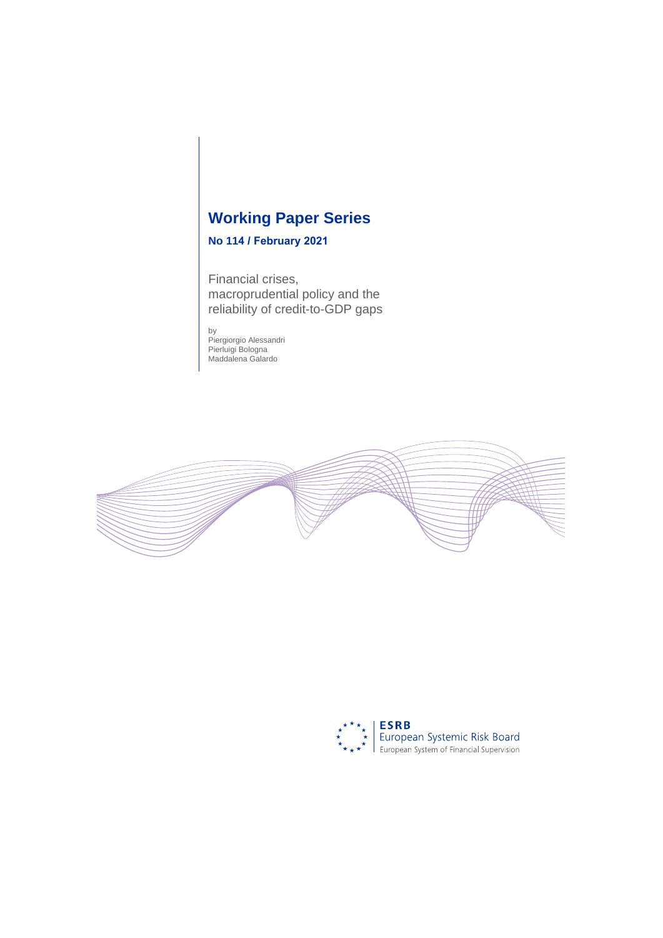# **Working Paper Series**

# **No 114 / February 2021**

Financial crises, macroprudential policy and the reliability of credit-to-GDP gaps

by Piergiorgio Alessandri Pierluigi Bologna Maddalena Galardo



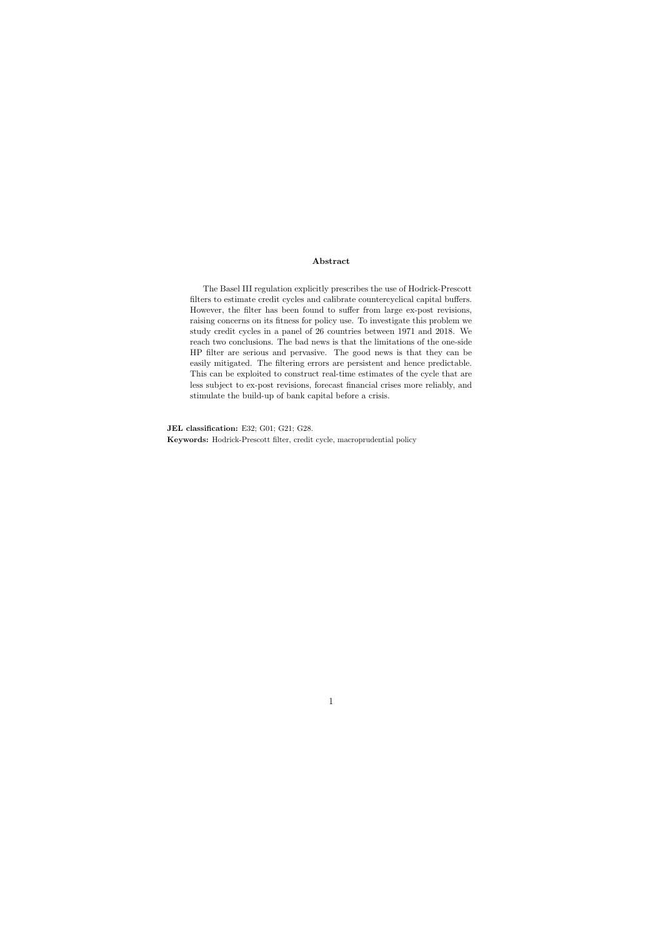#### Abstract

The Basel III regulation explicitly prescribes the use of Hodrick-Prescott filters to estimate credit cycles and calibrate countercyclical capital buffers. However, the filter has been found to suffer from large ex-post revisions, raising concerns on its fitness for policy use. To investigate this problem we study credit cycles in a panel of 26 countries between 1971 and 2018. We reach two conclusions. The bad news is that the limitations of the one-side HP filter are serious and pervasive. The good news is that they can be easily mitigated. The filtering errors are persistent and hence predictable. This can be exploited to construct real-time estimates of the cycle that are less subject to ex-post revisions, forecast financial crises more reliably, and stimulate the build-up of bank capital before a crisis.

JEL classification: E32; G01; G21; G28. Keywords: Hodrick-Prescott filter, credit cycle, macroprudential policy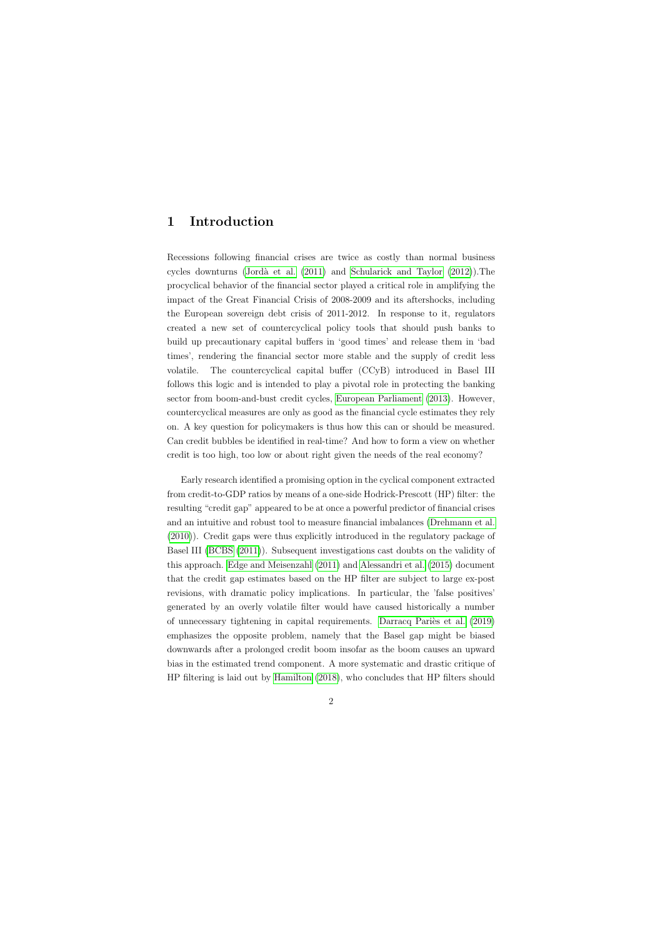# 1 Introduction

Recessions following financial crises are twice as costly than normal business cycles downturns (Jordà et al.  $(2011)$  and [Schularick and Taylor](#page-35-0)  $(2012)$ ). The procyclical behavior of the financial sector played a critical role in amplifying the impact of the Great Financial Crisis of 2008-2009 and its aftershocks, including the European sovereign debt crisis of 2011-2012. In response to it, regulators created a new set of countercyclical policy tools that should push banks to build up precautionary capital buffers in 'good times' and release them in 'bad times', rendering the financial sector more stable and the supply of credit less volatile. The countercyclical capital buffer (CCyB) introduced in Basel III follows this logic and is intended to play a pivotal role in protecting the banking sector from boom-and-bust credit cycles, [European Parliament](#page-34-1) [\(2013\)](#page-34-1). However, countercyclical measures are only as good as the financial cycle estimates they rely on. A key question for policymakers is thus how this can or should be measured. Can credit bubbles be identified in real-time? And how to form a view on whether credit is too high, too low or about right given the needs of the real economy?

Early research identified a promising option in the cyclical component extracted from credit-to-GDP ratios by means of a one-side Hodrick-Prescott (HP) filter: the resulting "credit gap" appeared to be at once a powerful predictor of financial crises and an intuitive and robust tool to measure financial imbalances [\(Drehmann et al.](#page-34-2) [\(2010\)](#page-34-2)). Credit gaps were thus explicitly introduced in the regulatory package of Basel III [\(BCBS](#page-33-0) [\(2011\)](#page-33-0)). Subsequent investigations cast doubts on the validity of this approach. [Edge and Meisenzahl](#page-34-3) [\(2011\)](#page-34-3) and [Alessandri et al.](#page-33-1) [\(2015\)](#page-33-1) document that the credit gap estimates based on the HP filter are subject to large ex-post revisions, with dramatic policy implications. In particular, the 'false positives' generated by an overly volatile filter would have caused historically a number of unnecessary tightening in capital requirements. Darracq Pariès et al. [\(2019\)](#page-33-2) emphasizes the opposite problem, namely that the Basel gap might be biased downwards after a prolonged credit boom insofar as the boom causes an upward bias in the estimated trend component. A more systematic and drastic critique of HP filtering is laid out by [Hamilton](#page-34-4) [\(2018\)](#page-34-4), who concludes that HP filters should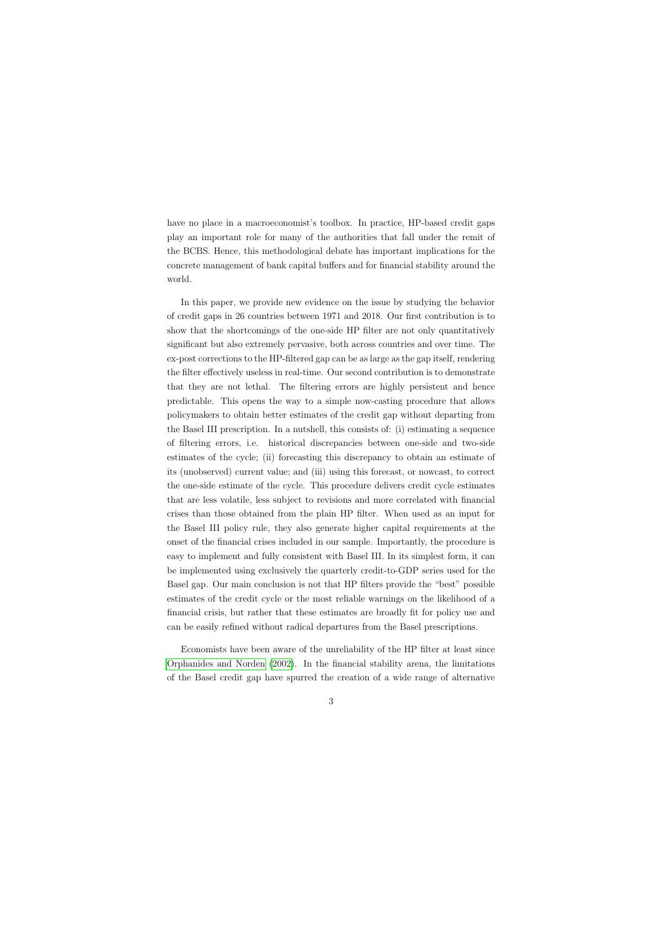have no place in a macroeconomist's toolbox. In practice, HP-based credit gaps play an important role for many of the authorities that fall under the remit of the BCBS. Hence, this methodological debate has important implications for the concrete management of bank capital buffers and for financial stability around the world.

In this paper, we provide new evidence on the issue by studying the behavior of credit gaps in 26 countries between 1971 and 2018. Our first contribution is to show that the shortcomings of the one-side HP filter are not only quantitatively significant but also extremely pervasive, both across countries and over time. The ex-post corrections to the HP-filtered gap can be as large as the gap itself, rendering the filter effectively useless in real-time. Our second contribution is to demonstrate that they are not lethal. The filtering errors are highly persistent and hence predictable. This opens the way to a simple now-casting procedure that allows policymakers to obtain better estimates of the credit gap without departing from the Basel III prescription. In a nutshell, this consists of: (i) estimating a sequence of filtering errors, i.e. historical discrepancies between one-side and two-side estimates of the cycle; (ii) forecasting this discrepancy to obtain an estimate of its (unobserved) current value; and (iii) using this forecast, or nowcast, to correct the one-side estimate of the cycle. This procedure delivers credit cycle estimates that are less volatile, less subject to revisions and more correlated with financial crises than those obtained from the plain HP filter. When used as an input for the Basel III policy rule, they also generate higher capital requirements at the onset of the financial crises included in our sample. Importantly, the procedure is easy to implement and fully consistent with Basel III. In its simplest form, it can be implemented using exclusively the quarterly credit-to-GDP series used for the Basel gap. Our main conclusion is not that HP filters provide the "best" possible estimates of the credit cycle or the most reliable warnings on the likelihood of a financial crisis, but rather that these estimates are broadly fit for policy use and can be easily refined without radical departures from the Basel prescriptions.

Economists have been aware of the unreliability of the HP filter at least since [Orphanides and Norden](#page-35-1) [\(2002\)](#page-35-1). In the financial stability arena, the limitations of the Basel credit gap have spurred the creation of a wide range of alternative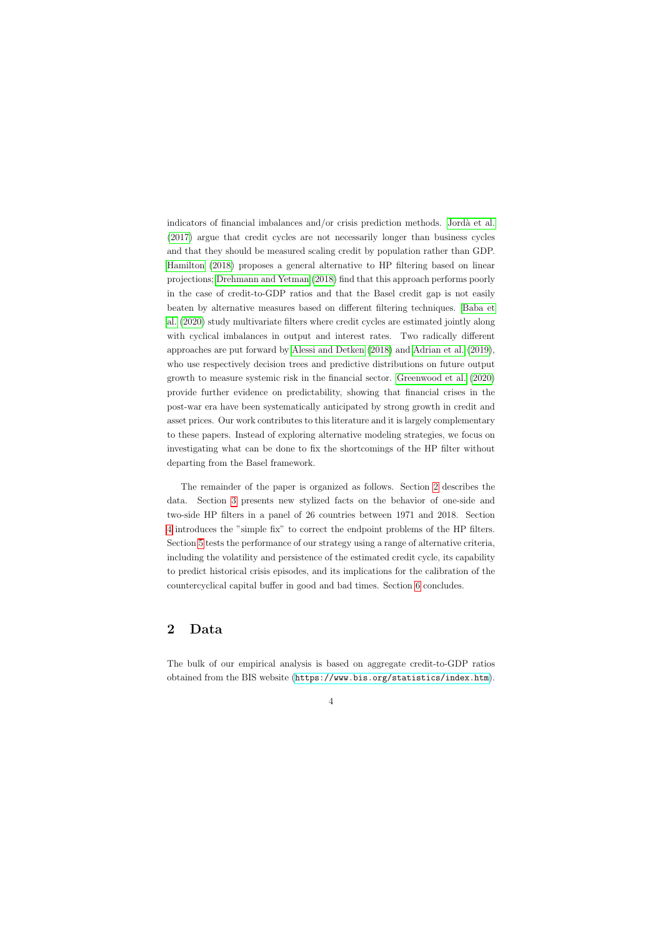indicators of financial imbalances and/or crisis prediction methods. Jordà et al. [\(2017\)](#page-34-5) argue that credit cycles are not necessarily longer than business cycles and that they should be measured scaling credit by population rather than GDP. [Hamilton](#page-34-4) [\(2018\)](#page-34-4) proposes a general alternative to HP filtering based on linear projections; [Drehmann and Yetman](#page-33-3) [\(2018\)](#page-33-3) find that this approach performs poorly in the case of credit-to-GDP ratios and that the Basel credit gap is not easily beaten by alternative measures based on different filtering techniques. [Baba et](#page-33-4) [al.](#page-33-4) [\(2020\)](#page-33-4) study multivariate filters where credit cycles are estimated jointly along with cyclical imbalances in output and interest rates. Two radically different approaches are put forward by [Alessi and Detken](#page-33-5) [\(2018\)](#page-33-5) and [Adrian et al.](#page-33-6) [\(2019\)](#page-33-6), who use respectively decision trees and predictive distributions on future output growth to measure systemic risk in the financial sector. [Greenwood et al.](#page-34-6) [\(2020\)](#page-34-6) provide further evidence on predictability, showing that financial crises in the post-war era have been systematically anticipated by strong growth in credit and asset prices. Our work contributes to this literature and it is largely complementary to these papers. Instead of exploring alternative modeling strategies, we focus on investigating what can be done to fix the shortcomings of the HP filter without departing from the Basel framework.

The remainder of the paper is organized as follows. Section [2](#page-4-0) describes the data. Section [3](#page-6-0) presents new stylized facts on the behavior of one-side and two-side HP filters in a panel of 26 countries between 1971 and 2018. Section [4](#page-7-0) introduces the "simple fix" to correct the endpoint problems of the HP filters. Section [5](#page-10-0) tests the performance of our strategy using a range of alternative criteria, including the volatility and persistence of the estimated credit cycle, its capability to predict historical crisis episodes, and its implications for the calibration of the countercyclical capital buffer in good and bad times. Section [6](#page-16-0) concludes.

### 2 Data

<span id="page-4-0"></span>The bulk of our empirical analysis is based on aggregate credit-to-GDP ratios obtained from the BIS website (<https://www.bis.org/statistics/index.htm>).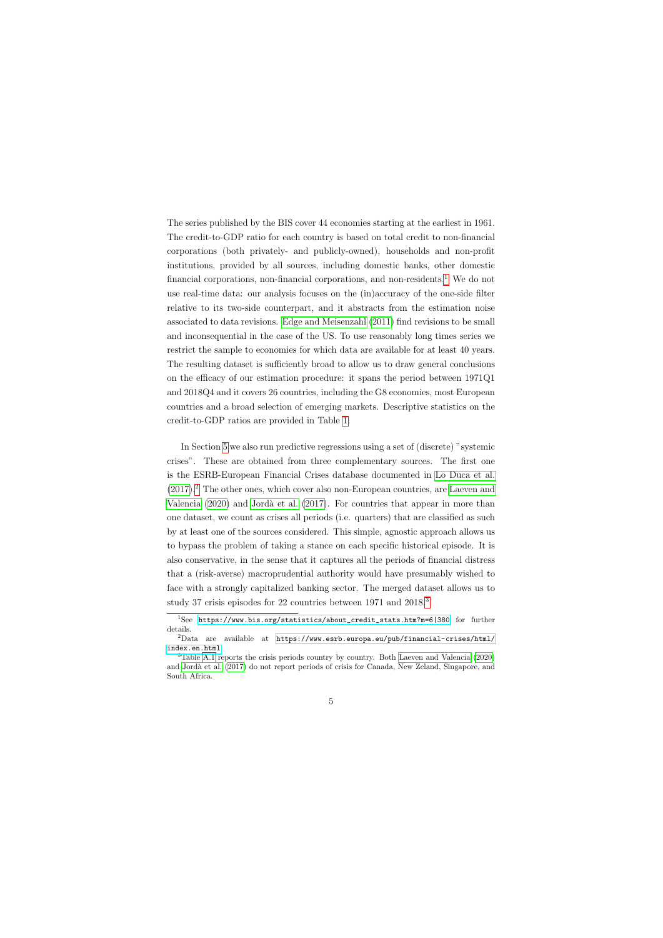The series published by the BIS cover 44 economies starting at the earliest in 1961. The credit-to-GDP ratio for each country is based on total credit to non-financial corporations (both privately- and publicly-owned), households and non-profit institutions, provided by all sources, including domestic banks, other domestic financial corporations, non-financial corporations, and non-residents.<sup>[1](#page-5-0)</sup> We do not use real-time data: our analysis focuses on the (in)accuracy of the one-side filter relative to its two-side counterpart, and it abstracts from the estimation noise associated to data revisions. [Edge and Meisenzahl](#page-34-3) [\(2011\)](#page-34-3) find revisions to be small and inconsequential in the case of the US. To use reasonably long times series we restrict the sample to economies for which data are available for at least 40 years. The resulting dataset is sufficiently broad to allow us to draw general conclusions on the efficacy of our estimation procedure: it spans the period between 1971Q1 and 2018Q4 and it covers 26 countries, including the G8 economies, most European countries and a broad selection of emerging markets. Descriptive statistics on the credit-to-GDP ratios are provided in Table [1.](#page-24-0)

In Section [5](#page-10-0) we also run predictive regressions using a set of (discrete) "systemic crises". These are obtained from three complementary sources. The first one is the ESRB-European Financial Crises database documented in [Lo Duca et al.](#page-34-7)  $(2017).<sup>2</sup>$  $(2017).<sup>2</sup>$  $(2017).<sup>2</sup>$  $(2017).<sup>2</sup>$  The other ones, which cover also non-European countries, are [Laeven and](#page-34-8) [Valencia](#page-34-8)  $(2020)$  and Jordà et al.  $(2017)$ . For countries that appear in more than one dataset, we count as crises all periods (i.e. quarters) that are classified as such by at least one of the sources considered. This simple, agnostic approach allows us to bypass the problem of taking a stance on each specific historical episode. It is also conservative, in the sense that it captures all the periods of financial distress that a (risk-averse) macroprudential authority would have presumably wished to face with a strongly capitalized banking sector. The merged dataset allows us to study [3](#page-5-2)7 crisis episodes for 22 countries between 1971 and 2018.<sup>3</sup>

<sup>1</sup>See [https://www.bis.org/statistics/about\\_credit\\_stats.htm?m=6|380](https://www.bis.org/statistics/about_credit_stats.htm?m=6|380) for further details.

<sup>2</sup>Data are available at [https://www.esrb.europa.eu/pub/financial-crises/html/](https://www.esrb.europa.eu/pub/financial-crises/html/index.en.html) [index.en.html](https://www.esrb.europa.eu/pub/financial-crises/html/index.en.html)

<span id="page-5-2"></span><span id="page-5-1"></span><span id="page-5-0"></span><sup>3</sup>Table [A.1](#page-38-0) reports the crisis periods country by country. Both [Laeven and Valencia](#page-34-8) [\(2020\)](#page-34-8) and [Jord`a et al.](#page-34-5) [\(2017\)](#page-34-5) do not report periods of crisis for Canada, New Zeland, Singapore, and South Africa.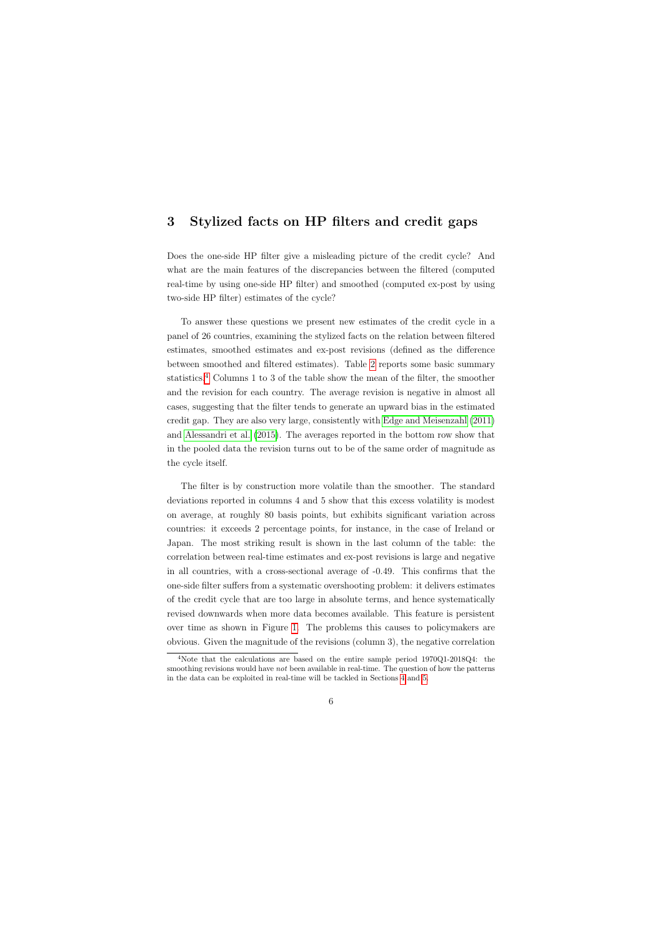## 3 Stylized facts on HP filters and credit gaps

Does the one-side HP filter give a misleading picture of the credit cycle? And what are the main features of the discrepancies between the filtered (computed real-time by using one-side HP filter) and smoothed (computed ex-post by using two-side HP filter) estimates of the cycle?

<span id="page-6-0"></span>To answer these questions we present new estimates of the credit cycle in a panel of 26 countries, examining the stylized facts on the relation between filtered estimates, smoothed estimates and ex-post revisions (defined as the difference between smoothed and filtered estimates). Table [2](#page-25-0) reports some basic summary statistics.[4](#page-6-1) Columns 1 to 3 of the table show the mean of the filter, the smoother and the revision for each country. The average revision is negative in almost all cases, suggesting that the filter tends to generate an upward bias in the estimated credit gap. They are also very large, consistently with [Edge and Meisenzahl](#page-34-3) [\(2011\)](#page-34-3) and [Alessandri et al.](#page-33-1) [\(2015\)](#page-33-1). The averages reported in the bottom row show that in the pooled data the revision turns out to be of the same order of magnitude as the cycle itself.

The filter is by construction more volatile than the smoother. The standard deviations reported in columns 4 and 5 show that this excess volatility is modest on average, at roughly 80 basis points, but exhibits significant variation across countries: it exceeds 2 percentage points, for instance, in the case of Ireland or Japan. The most striking result is shown in the last column of the table: the correlation between real-time estimates and ex-post revisions is large and negative in all countries, with a cross-sectional average of -0.49. This confirms that the one-side filter suffers from a systematic overshooting problem: it delivers estimates of the credit cycle that are too large in absolute terms, and hence systematically revised downwards when more data becomes available. This feature is persistent over time as shown in Figure [1.](#page-18-0) The problems this causes to policymakers are obvious. Given the magnitude of the revisions (column 3), the negative correlation

<span id="page-6-1"></span><sup>4</sup>Note that the calculations are based on the entire sample period 1970Q1-2018Q4: the smoothing revisions would have *not* been available in real-time. The question of how the patterns in the data can be exploited in real-time will be tackled in Sections [4](#page-7-0) and [5.](#page-10-0)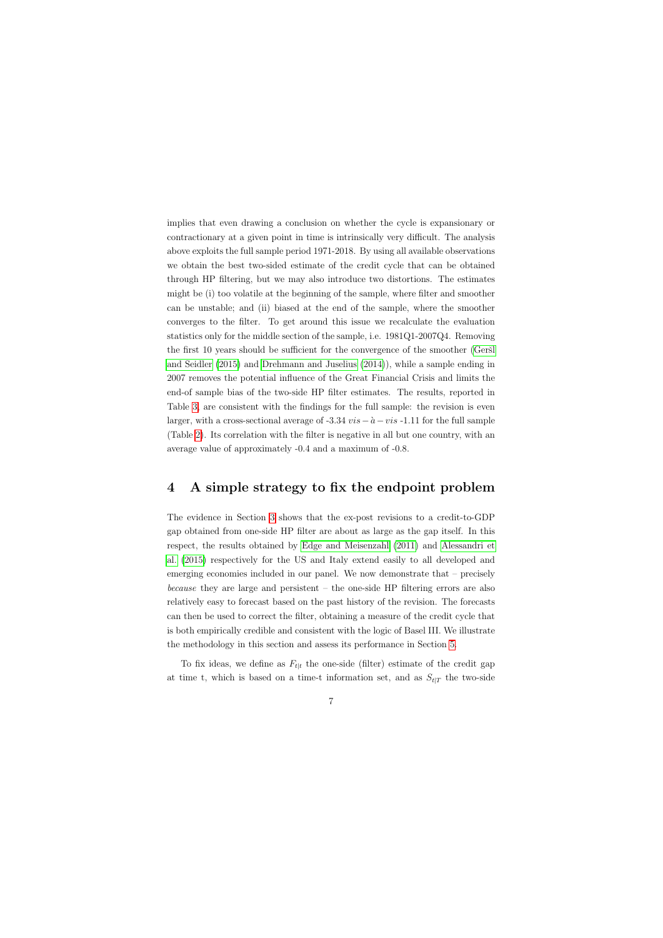implies that even drawing a conclusion on whether the cycle is expansionary or contractionary at a given point in time is intrinsically very difficult. The analysis above exploits the full sample period 1971-2018. By using all available observations we obtain the best two-sided estimate of the credit cycle that can be obtained through HP filtering, but we may also introduce two distortions. The estimates might be (i) too volatile at the beginning of the sample, where filter and smoother can be unstable; and (ii) biased at the end of the sample, where the smoother converges to the filter. To get around this issue we recalculate the evaluation statistics only for the middle section of the sample, i.e. 1981Q1-2007Q4. Removing the first 10 years should be sufficient for the convergence of the smoother (Ger $\tilde{s}$ l [and Seidler](#page-34-9) [\(2015\)](#page-34-9) and [Drehmann and Juselius](#page-33-7) [\(2014\)](#page-33-7)), while a sample ending in 2007 removes the potential influence of the Great Financial Crisis and limits the end-of sample bias of the two-side HP filter estimates. The results, reported in Table [3,](#page-26-0) are consistent with the findings for the full sample: the revision is even larger, with a cross-sectional average of -3.34  $vis-\hat{a}-vis$  -1.11 for the full sample (Table [2\)](#page-25-0). Its correlation with the filter is negative in all but one country, with an average value of approximately -0.4 and a maximum of -0.8.

### 4 A simple strategy to fix the endpoint problem

The evidence in Section [3](#page-6-0) shows that the ex-post revisions to a credit-to-GDP gap obtained from one-side HP filter are about as large as the gap itself. In this respect, the results obtained by [Edge and Meisenzahl](#page-34-3) [\(2011\)](#page-34-3) and [Alessandri et](#page-33-1) [al.](#page-33-1) [\(2015\)](#page-33-1) respectively for the US and Italy extend easily to all developed and emerging economies included in our panel. We now demonstrate that – precisely because they are large and persistent – the one-side HP filtering errors are also relatively easy to forecast based on the past history of the revision. The forecasts can then be used to correct the filter, obtaining a measure of the credit cycle that is both empirically credible and consistent with the logic of Basel III. We illustrate the methodology in this section and assess its performance in Section [5.](#page-10-0)

<span id="page-7-0"></span>To fix ideas, we define as  $F_{t|t}$  the one-side (filter) estimate of the credit gap at time t, which is based on a time-t information set, and as  $S_{t|T}$  the two-side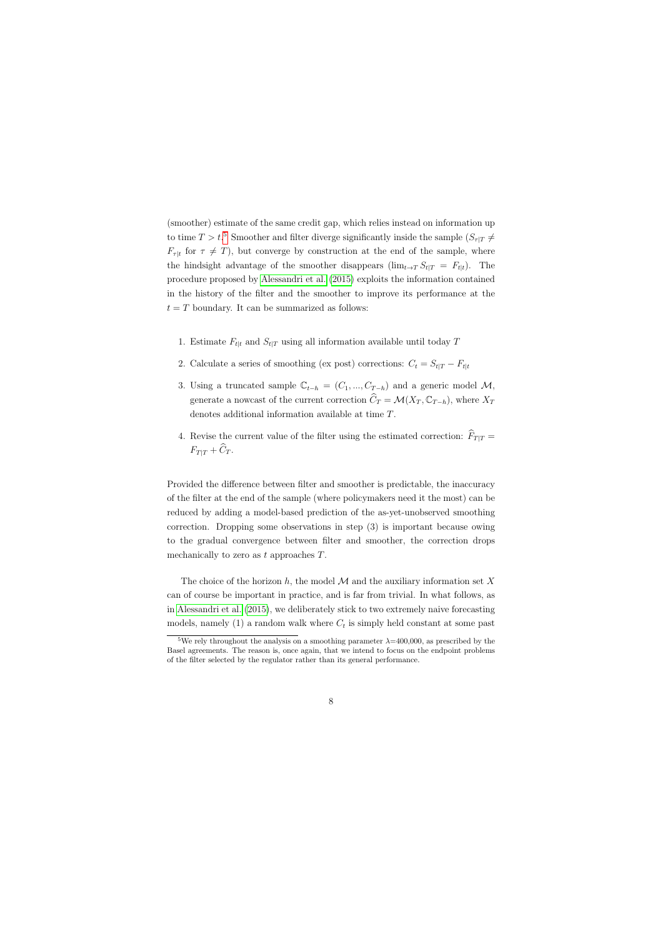(smoother) estimate of the same credit gap, which relies instead on information up to time  $T > t$ <sup>[5](#page-8-0)</sup> Smoother and filter diverge significantly inside the sample  $(S_{\tau|T} \neq$  $F_{\tau|t}$  for  $\tau \neq T$ , but converge by construction at the end of the sample, where the hindsight advantage of the smoother disappears (lim<sub>t→T</sub>  $S_{t|T} = F_{t|t}$ ). The procedure proposed by [Alessandri et al.](#page-33-1) [\(2015\)](#page-33-1) exploits the information contained in the history of the filter and the smoother to improve its performance at the  $t = T$  boundary. It can be summarized as follows:

- 1. Estimate  $F_{t|t}$  and  $S_{t|T}$  using all information available until today T
- 2. Calculate a series of smoothing (ex post) corrections:  $C_t = S_{t|T} F_{t|t}$
- 3. Using a truncated sample  $\mathbb{C}_{t-h} = (C_1, ..., C_{T-h})$  and a generic model M, generate a nowcast of the current correction  $\widehat{C}_T = \mathcal{M}(X_T, \mathbb{C}_{T-h})$ , where  $X_T$ denotes additional information available at time T.
- 4. Revise the current value of the filter using the estimated correction:  $\widehat{F}_{T|T} =$  $F_{T|T} + \widehat{C}_T.$

Provided the difference between filter and smoother is predictable, the inaccuracy of the filter at the end of the sample (where policymakers need it the most) can be reduced by adding a model-based prediction of the as-yet-unobserved smoothing correction. Dropping some observations in step (3) is important because owing to the gradual convergence between filter and smoother, the correction drops mechanically to zero as  $t$  approaches  $T$ .

The choice of the horizon h, the model  $\mathcal M$  and the auxiliary information set X can of course be important in practice, and is far from trivial. In what follows, as in [Alessandri et al.](#page-33-1) [\(2015\)](#page-33-1), we deliberately stick to two extremely naive forecasting models, namely (1) a random walk where  $C_t$  is simply held constant at some past

<span id="page-8-0"></span><sup>&</sup>lt;sup>5</sup>We rely throughout the analysis on a smoothing parameter  $\lambda$ =400,000, as prescribed by the Basel agreements. The reason is, once again, that we intend to focus on the endpoint problems of the filter selected by the regulator rather than its general performance.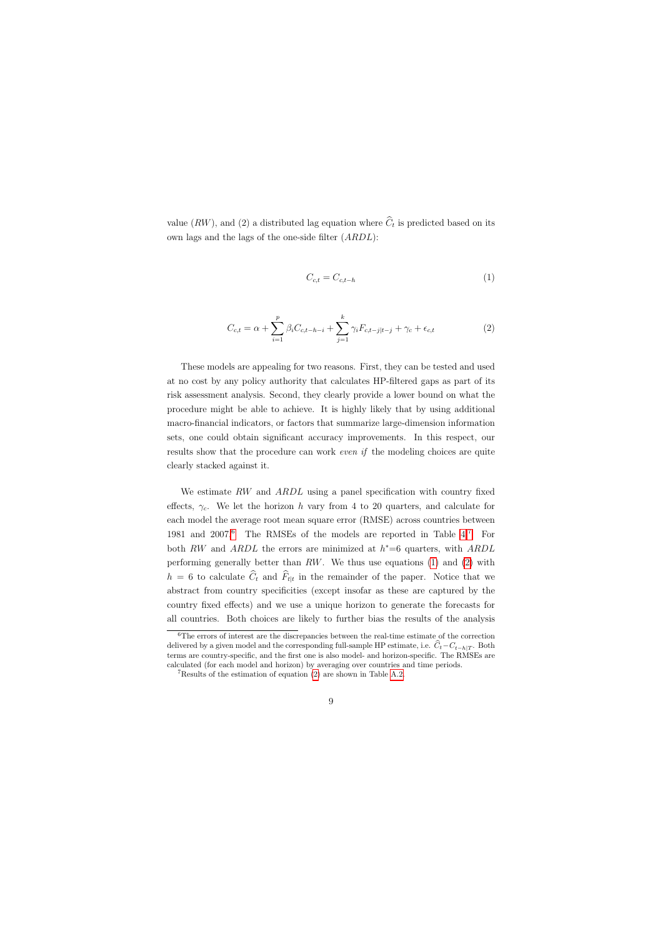value  $(RW)$ , and (2) a distributed lag equation where  $C_t$  is predicted based on its own lags and the lags of the one-side filter (ARDL):

$$
C_{c,t} = C_{c,t-h} \tag{1}
$$

$$
C_{c,t} = \alpha + \sum_{i=1}^{p} \beta_i C_{c,t-h-i} + \sum_{j=1}^{k} \gamma_i F_{c,t-j|t-j} + \gamma_c + \epsilon_{c,t}
$$
 (2)

<span id="page-9-2"></span>These models are appealing for two reasons. First, they can be tested and used at no cost by any policy authority that calculates HP-filtered gaps as part of its risk assessment analysis. Second, they clearly provide a lower bound on what the procedure might be able to achieve. It is highly likely that by using additional macro-financial indicators, or factors that summarize large-dimension information sets, one could obtain significant accuracy improvements. In this respect, our results show that the procedure can work *even if* the modeling choices are quite clearly stacked against it.

<span id="page-9-3"></span>We estimate RW and ARDL using a panel specification with country fixed effects,  $\gamma_c$ . We let the horizon h vary from 4 to 20 quarters, and calculate for each model the average root mean square error (RMSE) across countries between 1981 and 2007.[6](#page-9-0) The RMSEs of the models are reported in Table [4.](#page-27-0)[7](#page-9-1) For both RW and ARDL the errors are minimized at  $h^*=6$  quarters, with ARDL performing generally better than  $RW$ . We thus use equations [\(1\)](#page-9-2) and [\(2\)](#page-9-3) with  $h = 6$  to calculate  $C_t$  and  $F_{t|t}$  in the remainder of the paper. Notice that we abstract from country specificities (except insofar as these are captured by the country fixed effects) and we use a unique horizon to generate the forecasts for all countries. Both choices are likely to further bias the results of the analysis

<sup>6</sup>The errors of interest are the discrepancies between the real-time estimate of the correction delivered by a given model and the corresponding full-sample HP estimate, i.e.  $\tilde{C}_t - C_{t-h|T}$ . Both terms are country-specific, and the first one is also model- and horizon-specific. The RMSEs are calculated (for each model and horizon) by averaging over countries and time periods.

<span id="page-9-1"></span><span id="page-9-0"></span><sup>7</sup>Results of the estimation of equation [\(2\)](#page-9-3) are shown in Table [A.2.](#page-39-0)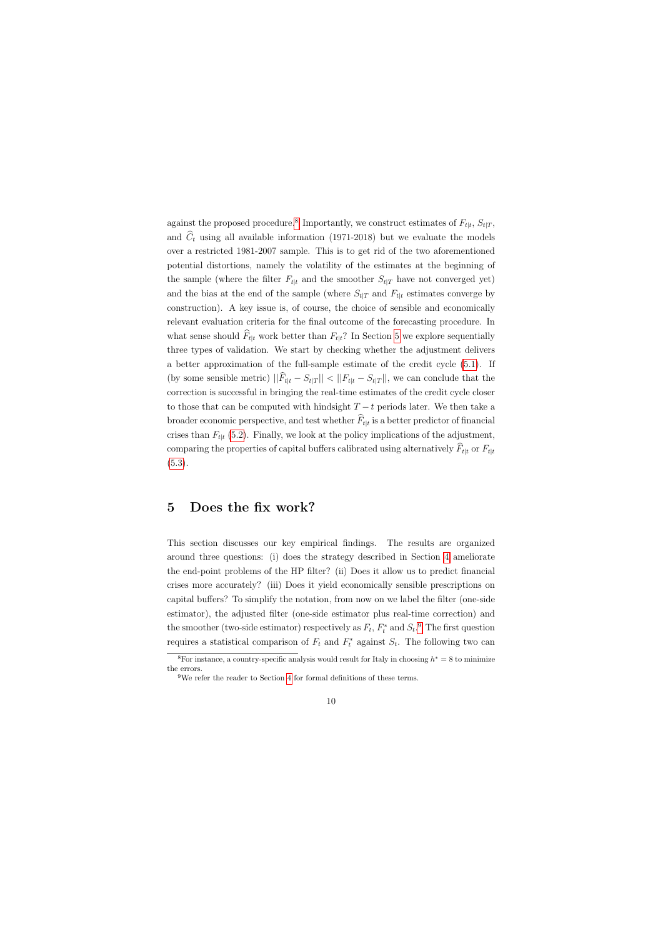against the proposed procedure.<sup>[8](#page-10-1)</sup> Importantly, we construct estimates of  $F_{t|t}$ ,  $S_{t|T}$ , and  $\hat{C}_t$  using all available information (1971-2018) but we evaluate the models over a restricted 1981-2007 sample. This is to get rid of the two aforementioned potential distortions, namely the volatility of the estimates at the beginning of the sample (where the filter  $F_{t|t}$  and the smoother  $S_{t|T}$  have not converged yet) and the bias at the end of the sample (where  $S_{t|T}$  and  $F_{t|t}$  estimates converge by construction). A key issue is, of course, the choice of sensible and economically relevant evaluation criteria for the final outcome of the forecasting procedure. In what sense should  $\hat{F}_{t|t}$  work better than  $F_{t|t}$ ? In Section [5](#page-10-0) we explore sequentially three types of validation. We start by checking whether the adjustment delivers a better approximation of the full-sample estimate of the credit cycle [\(5.1\)](#page-11-0). If (by some sensible metric)  $||\widehat{F}_{t|t} - S_{t|T}|| < ||F_{t|t} - S_{t|T}||$ , we can conclude that the correction is successful in bringing the real-time estimates of the credit cycle closer to those that can be computed with hindsight  $T - t$  periods later. We then take a broader economic perspective, and test whether  $F_{t|t}$  is a better predictor of financial crises than  $F_{t|t}$  [\(5.2\)](#page-12-0). Finally, we look at the policy implications of the adjustment, comparing the properties of capital buffers calibrated using alternatively  $\widehat{F}_{t|t}$  or  $F_{t|t}$  $(5.3).$  $(5.3).$ 

### 5 Does the fix work?

This section discusses our key empirical findings. The results are organized around three questions: (i) does the strategy described in Section [4](#page-7-0) ameliorate the end-point problems of the HP filter? (ii) Does it allow us to predict financial crises more accurately? (iii) Does it yield economically sensible prescriptions on capital buffers? To simplify the notation, from now on we label the filter (one-side estimator), the adjusted filter (one-side estimator plus real-time correction) and the smoother (two-side estimator) respectively as  $F_t$ ,  $F_t^*$  and  $S_t$ .<sup>[9](#page-10-2)</sup> The first question requires a statistical comparison of  $F_t$  and  $F_t^*$  against  $S_t$ . The following two can

<span id="page-10-0"></span><sup>&</sup>lt;sup>8</sup>For instance, a country-specific analysis would result for Italy in choosing  $h^* = 8$  to minimize the errors.

<span id="page-10-2"></span><span id="page-10-1"></span><sup>&</sup>lt;sup>9</sup>We refer the reader to Section [4](#page-7-0) for formal definitions of these terms.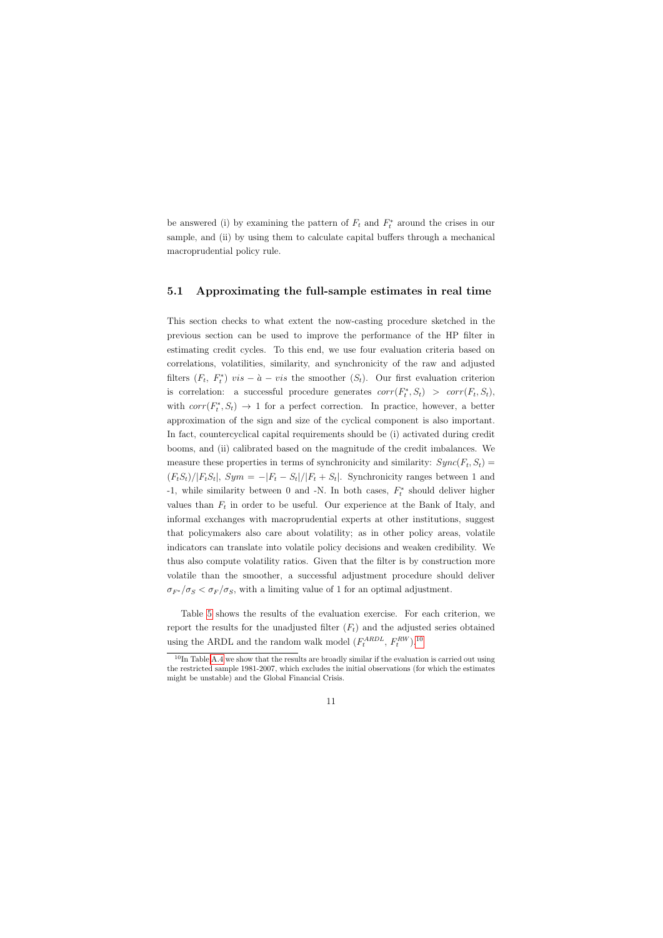be answered (i) by examining the pattern of  $F_t$  and  $F_t^*$  around the crises in our sample, and (ii) by using them to calculate capital buffers through a mechanical macroprudential policy rule.

#### 5.1 Approximating the full-sample estimates in real time

<span id="page-11-0"></span>This section checks to what extent the now-casting procedure sketched in the previous section can be used to improve the performance of the HP filter in estimating credit cycles. To this end, we use four evaluation criteria based on correlations, volatilities, similarity, and synchronicity of the raw and adjusted filters  $(F_t, F_t^*)$  vis  $-\hat{a} - vis$  the smoother  $(S_t)$ . Our first evaluation criterion is correlation: a successful procedure generates  $corr(F_t^*, S_t) > corr(F_t, S_t)$ , with  $corr(F_t^*, S_t) \rightarrow 1$  for a perfect correction. In practice, however, a better approximation of the sign and size of the cyclical component is also important. In fact, countercyclical capital requirements should be (i) activated during credit booms, and (ii) calibrated based on the magnitude of the credit imbalances. We measure these properties in terms of synchronicity and similarity:  $Sync(F_t, S_t)$  $(F_tS_t)/|F_tS_t|$ ,  $Sym = -|F_t - S_t|/|F_t + S_t|$ . Synchronicity ranges between 1 and -1, while similarity between 0 and -N. In both cases,  $F_t^*$  should deliver higher values than  $F_t$  in order to be useful. Our experience at the Bank of Italy, and informal exchanges with macroprudential experts at other institutions, suggest that policymakers also care about volatility; as in other policy areas, volatile indicators can translate into volatile policy decisions and weaken credibility. We thus also compute volatility ratios. Given that the filter is by construction more volatile than the smoother, a successful adjustment procedure should deliver  $\sigma_{F^*}/\sigma_S < \sigma_F/\sigma_S$ , with a limiting value of 1 for an optimal adjustment.

Table [5](#page-28-0) shows the results of the evaluation exercise. For each criterion, we report the results for the unadjusted filter  $(F_t)$  and the adjusted series obtained using the ARDL and the random walk model  $(F_t^{ARDL}, F_t^{RW})$ .<sup>[10](#page-11-1)</sup>

<span id="page-11-1"></span> $10$ In Table [A.4](#page-41-0) we show that the results are broadly similar if the evaluation is carried out using the restricted sample 1981-2007, which excludes the initial observations (for which the estimates might be unstable) and the Global Financial Crisis.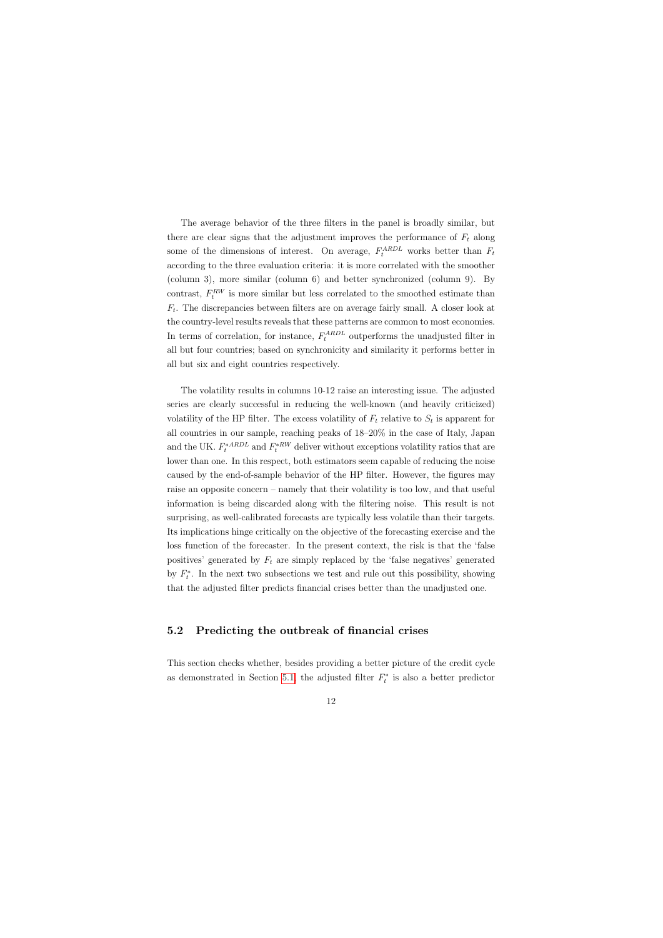The average behavior of the three filters in the panel is broadly similar, but there are clear signs that the adjustment improves the performance of  $F_t$  along some of the dimensions of interest. On average,  $F_t^{ARDL}$  works better than  $F_t$ according to the three evaluation criteria: it is more correlated with the smoother (column 3), more similar (column 6) and better synchronized (column 9). By contrast,  $F_t^{RW}$  is more similar but less correlated to the smoothed estimate than  $F_t$ . The discrepancies between filters are on average fairly small. A closer look at the country-level results reveals that these patterns are common to most economies. In terms of correlation, for instance,  $F_t^{ARDL}$  outperforms the unadjusted filter in all but four countries; based on synchronicity and similarity it performs better in all but six and eight countries respectively.

The volatility results in columns 10-12 raise an interesting issue. The adjusted series are clearly successful in reducing the well-known (and heavily criticized) volatility of the HP filter. The excess volatility of  $F_t$  relative to  $S_t$  is apparent for all countries in our sample, reaching peaks of 18–20% in the case of Italy, Japan and the UK.  $F_t^{*ARDL}$  and  $F_t^{*RW}$  deliver without exceptions volatility ratios that are lower than one. In this respect, both estimators seem capable of reducing the noise caused by the end-of-sample behavior of the HP filter. However, the figures may raise an opposite concern – namely that their volatility is too low, and that useful information is being discarded along with the filtering noise. This result is not surprising, as well-calibrated forecasts are typically less volatile than their targets. Its implications hinge critically on the objective of the forecasting exercise and the loss function of the forecaster. In the present context, the risk is that the 'false positives' generated by  $F_t$  are simply replaced by the 'false negatives' generated by  $F_t^*$ . In the next two subsections we test and rule out this possibility, showing that the adjusted filter predicts financial crises better than the unadjusted one.

#### 5.2 Predicting the outbreak of financial crises

<span id="page-12-0"></span>This section checks whether, besides providing a better picture of the credit cycle as demonstrated in Section [5.1,](#page-11-0) the adjusted filter  $F_t^*$  is also a better predictor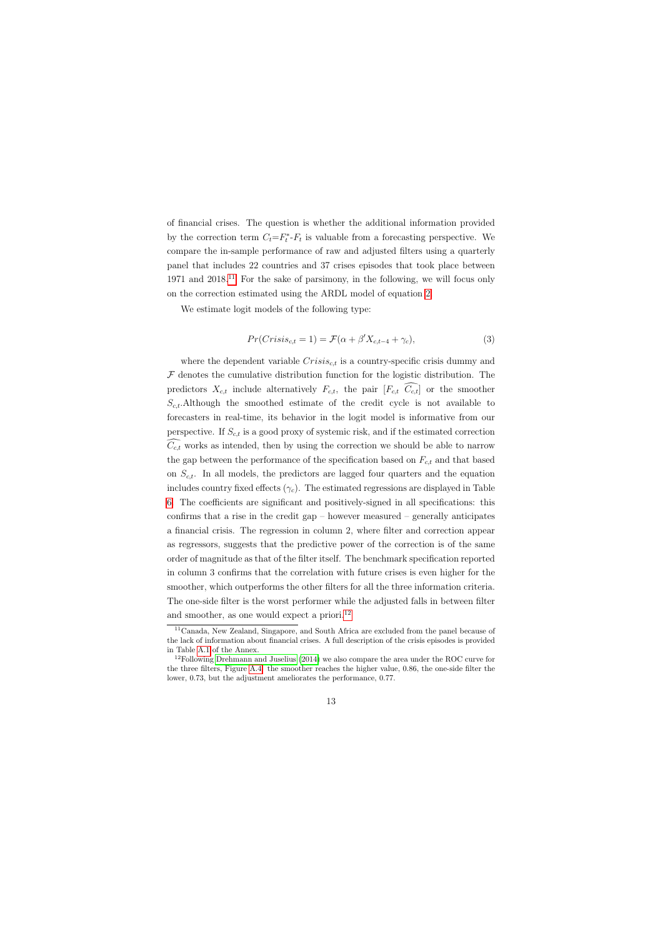of financial crises. The question is whether the additional information provided by the correction term  $C_t = F_t^*$ - $F_t$  is valuable from a forecasting perspective. We compare the in-sample performance of raw and adjusted filters using a quarterly panel that includes 22 countries and 37 crises episodes that took place between 1971 and 2018.[11](#page-13-0) For the sake of parsimony, in the following, we will focus only on the correction estimated using the ARDL model of equation [2.](#page-9-3)

We estimate logit models of the following type:

$$
Pr(Crisis_{c,t} = 1) = \mathcal{F}(\alpha + \beta'X_{c,t-4} + \gamma_c),
$$
\n(3)

<span id="page-13-2"></span>where the dependent variable  $Crisis_{c,t}$  is a country-specific crisis dummy and  $F$  denotes the cumulative distribution function for the logistic distribution. The predictors  $X_{c,t}$  include alternatively  $F_{c,t}$ , the pair  $[F_{c,t} \ \widehat{C_{c,t}}]$  or the smoother  $S_{c,t}$ .Although the smoothed estimate of the credit cycle is not available to forecasters in real-time, its behavior in the logit model is informative from our perspective. If  $S_{c,t}$  is a good proxy of systemic risk, and if the estimated correction  $\widehat{C_{c,t}}$  works as intended, then by using the correction we should be able to narrow the gap between the performance of the specification based on  $F_{c,t}$  and that based on  $S_{c,t}$ . In all models, the predictors are lagged four quarters and the equation includes country fixed effects  $(\gamma_c)$ . The estimated regressions are displayed in Table [6.](#page-29-0) The coefficients are significant and positively-signed in all specifications: this confirms that a rise in the credit gap  $-$  however measured  $-$  generally anticipates a financial crisis. The regression in column 2, where filter and correction appear as regressors, suggests that the predictive power of the correction is of the same order of magnitude as that of the filter itself. The benchmark specification reported in column 3 confirms that the correlation with future crises is even higher for the smoother, which outperforms the other filters for all the three information criteria. The one-side filter is the worst performer while the adjusted falls in between filter and smoother, as one would expect a priori.<sup>[12](#page-13-1)</sup>

<sup>11</sup>Canada, New Zealand, Singapore, and South Africa are excluded from the panel because of the lack of information about financial crises. A full description of the crisis episodes is provided in Table [A.1](#page-38-0) of the Annex.

<span id="page-13-1"></span><span id="page-13-0"></span><sup>&</sup>lt;sup>12</sup>Following [Drehmann and Juselius](#page-33-7) [\(2014\)](#page-33-7) we also compare the area under the ROC curve for the three filters, Figure [A.4:](#page-42-0) the smoother reaches the higher value, 0.86, the one-side filter the lower, 0.73, but the adjustment ameliorates the performance, 0.77.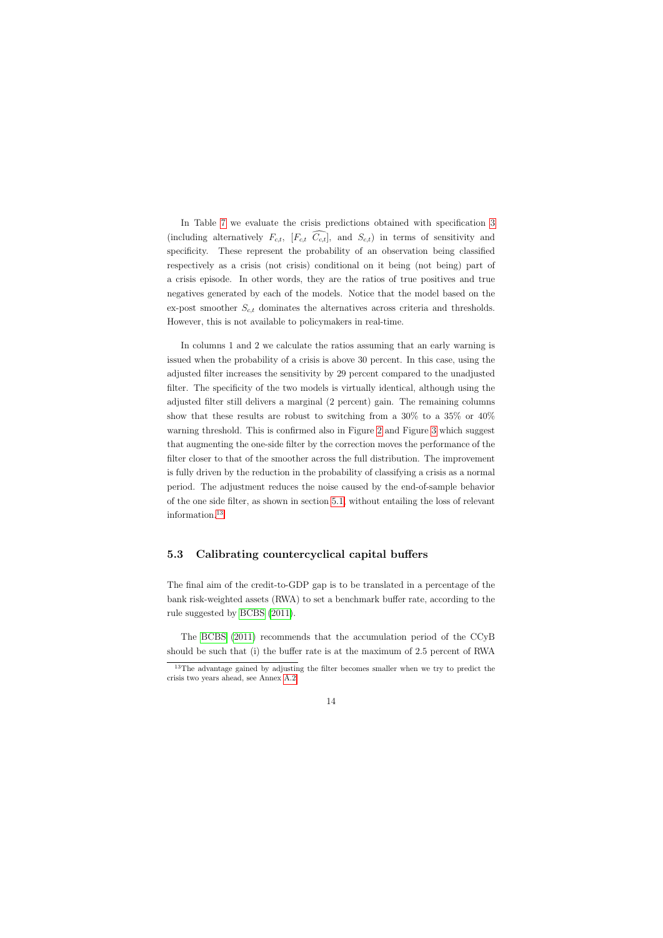In Table [7](#page-29-1) we evaluate the crisis predictions obtained with specification [3](#page-13-2) (including alternatively  $F_{c,t}$ ,  $[F_{c,t} \ \widehat{C_{c,t}}]$ , and  $S_{c,t}$ ) in terms of sensitivity and specificity. These represent the probability of an observation being classified respectively as a crisis (not crisis) conditional on it being (not being) part of a crisis episode. In other words, they are the ratios of true positives and true negatives generated by each of the models. Notice that the model based on the ex-post smoother  $S_{c,t}$  dominates the alternatives across criteria and thresholds. However, this is not available to policymakers in real-time.

In columns 1 and 2 we calculate the ratios assuming that an early warning is issued when the probability of a crisis is above 30 percent. In this case, using the adjusted filter increases the sensitivity by 29 percent compared to the unadjusted filter. The specificity of the two models is virtually identical, although using the adjusted filter still delivers a marginal (2 percent) gain. The remaining columns show that these results are robust to switching from a 30% to a 35% or 40% warning threshold. This is confirmed also in Figure [2](#page-22-0) and Figure [3](#page-23-0) which suggest that augmenting the one-side filter by the correction moves the performance of the filter closer to that of the smoother across the full distribution. The improvement is fully driven by the reduction in the probability of classifying a crisis as a normal period. The adjustment reduces the noise caused by the end-of-sample behavior of the one side filter, as shown in section [5.1,](#page-11-0) without entailing the loss of relevant information.[13](#page-14-1)

#### 5.3 Calibrating countercyclical capital buffers

The final aim of the credit-to-GDP gap is to be translated in a percentage of the bank risk-weighted assets (RWA) to set a benchmark buffer rate, according to the rule suggested by [BCBS](#page-33-0) [\(2011\)](#page-33-0).

The [BCBS](#page-33-0) [\(2011\)](#page-33-0) recommends that the accumulation period of the CCyB should be such that (i) the buffer rate is at the maximum of 2.5 percent of RWA

<span id="page-14-1"></span><span id="page-14-0"></span><sup>&</sup>lt;sup>13</sup>The advantage gained by adjusting the filter becomes smaller when we try to predict the crisis two years ahead, see Annex [A.2.](#page-36-0)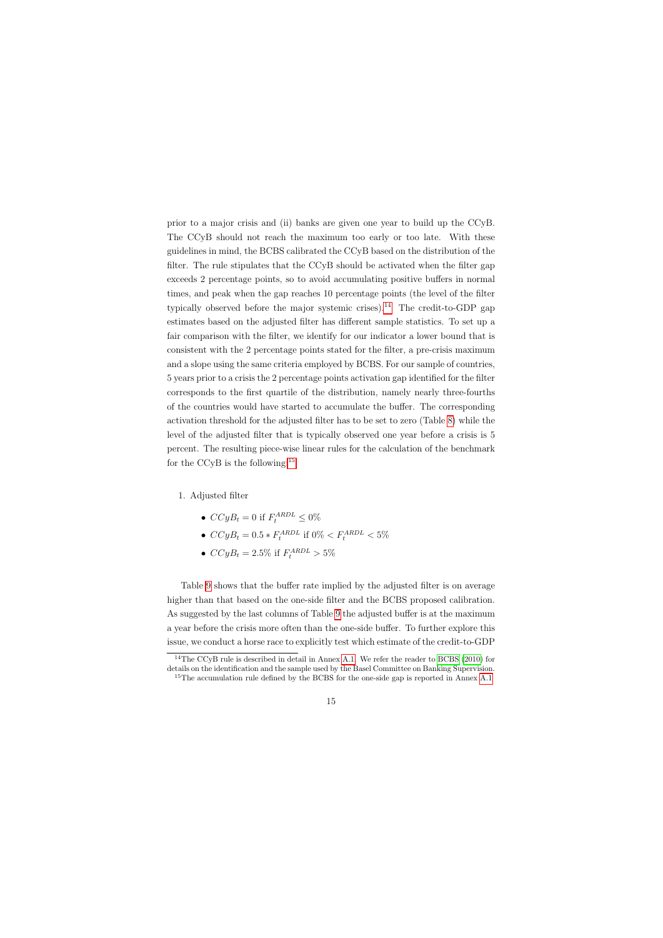prior to a major crisis and (ii) banks are given one year to build up the CCyB. The CCyB should not reach the maximum too early or too late. With these guidelines in mind, the BCBS calibrated the CCyB based on the distribution of the filter. The rule stipulates that the CCyB should be activated when the filter gap exceeds 2 percentage points, so to avoid accumulating positive buffers in normal times, and peak when the gap reaches 10 percentage points (the level of the filter typically observed before the major systemic crises).<sup>[14](#page-15-0)</sup> The credit-to-GDP gap estimates based on the adjusted filter has different sample statistics. To set up a fair comparison with the filter, we identify for our indicator a lower bound that is consistent with the 2 percentage points stated for the filter, a pre-crisis maximum and a slope using the same criteria employed by BCBS. For our sample of countries, 5 years prior to a crisis the 2 percentage points activation gap identified for the filter corresponds to the first quartile of the distribution, namely nearly three-fourths of the countries would have started to accumulate the buffer. The corresponding activation threshold for the adjusted filter has to be set to zero (Table [8\)](#page-30-0) while the level of the adjusted filter that is typically observed one year before a crisis is 5 percent. The resulting piece-wise linear rules for the calculation of the benchmark for the CCyB is the following:  $15$ 

#### 1. Adjusted filter

- $CCyB_t = 0$  if  $F_t^{ARDL} \leq 0\%$
- $CCyB_t = 0.5 * F_t^{ARDL}$  if  $0\% < F_t^{ARDL} < 5\%$
- $CCyB_t = 2.5\%$  if  $F_t^{ARDL} > 5\%$

Table [9](#page-31-0) shows that the buffer rate implied by the adjusted filter is on average higher than that based on the one-side filter and the BCBS proposed calibration. As suggested by the last columns of Table [9](#page-31-0) the adjusted buffer is at the maximum a year before the crisis more often than the one-side buffer. To further explore this issue, we conduct a horse race to explicitly test which estimate of the credit-to-GDP

<sup>&</sup>lt;sup>14</sup>The CCyB rule is described in detail in Annex [A.1.](#page-36-1) We refer the reader to [BCBS](#page-33-8) [\(2010\)](#page-33-8) for details on the identification and the sample used by the Basel Committee on Banking Supervision.

<span id="page-15-1"></span><span id="page-15-0"></span><sup>&</sup>lt;sup>15</sup>The accumulation rule defined by the BCBS for the one-side gap is reported in Annex [A.1](#page-36-1)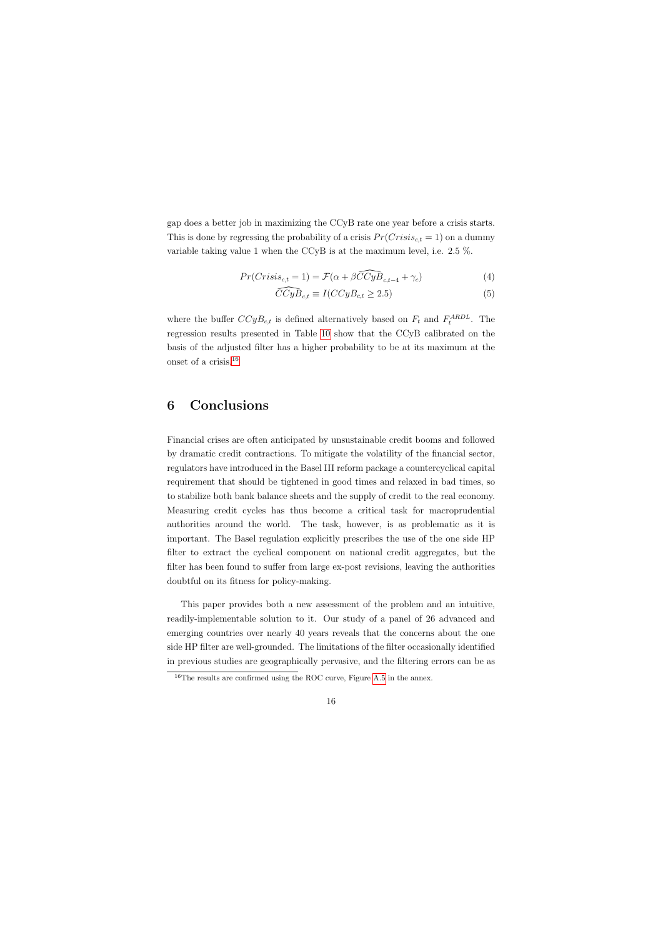gap does a better job in maximizing the CCyB rate one year before a crisis starts. This is done by regressing the probability of a crisis  $Pr(Crisis_{ct} = 1)$  on a dummy variable taking value 1 when the CCyB is at the maximum level, i.e. 2.5 %.

$$
Pr(Crisis_{c,t} = 1) = \mathcal{F}(\alpha + \beta \widehat{CCyB}_{c,t-4} + \gamma_c)
$$
\n<sup>(4)</sup>

$$
\widehat{CCyB}_{c,t} \equiv I(CCyB_{c,t} \ge 2.5)
$$
\n<sup>(5)</sup>

where the buffer  $CCyB_{c,t}$  is defined alternatively based on  $F_t$  and  $F_t^{ARDL}$ . The regression results presented in Table [10](#page-32-0) show that the CCyB calibrated on the basis of the adjusted filter has a higher probability to be at its maximum at the onset of a crisis.[16](#page-16-1)

### 6 Conclusions

<span id="page-16-0"></span>Financial crises are often anticipated by unsustainable credit booms and followed by dramatic credit contractions. To mitigate the volatility of the financial sector, regulators have introduced in the Basel III reform package a countercyclical capital requirement that should be tightened in good times and relaxed in bad times, so to stabilize both bank balance sheets and the supply of credit to the real economy. Measuring credit cycles has thus become a critical task for macroprudential authorities around the world. The task, however, is as problematic as it is important. The Basel regulation explicitly prescribes the use of the one side HP filter to extract the cyclical component on national credit aggregates, but the filter has been found to suffer from large ex-post revisions, leaving the authorities doubtful on its fitness for policy-making.

This paper provides both a new assessment of the problem and an intuitive, readily-implementable solution to it. Our study of a panel of 26 advanced and emerging countries over nearly 40 years reveals that the concerns about the one side HP filter are well-grounded. The limitations of the filter occasionally identified in previous studies are geographically pervasive, and the filtering errors can be as

<span id="page-16-1"></span> $16$ The results are confirmed using the ROC curve, Figure [A.5](#page-43-0) in the annex.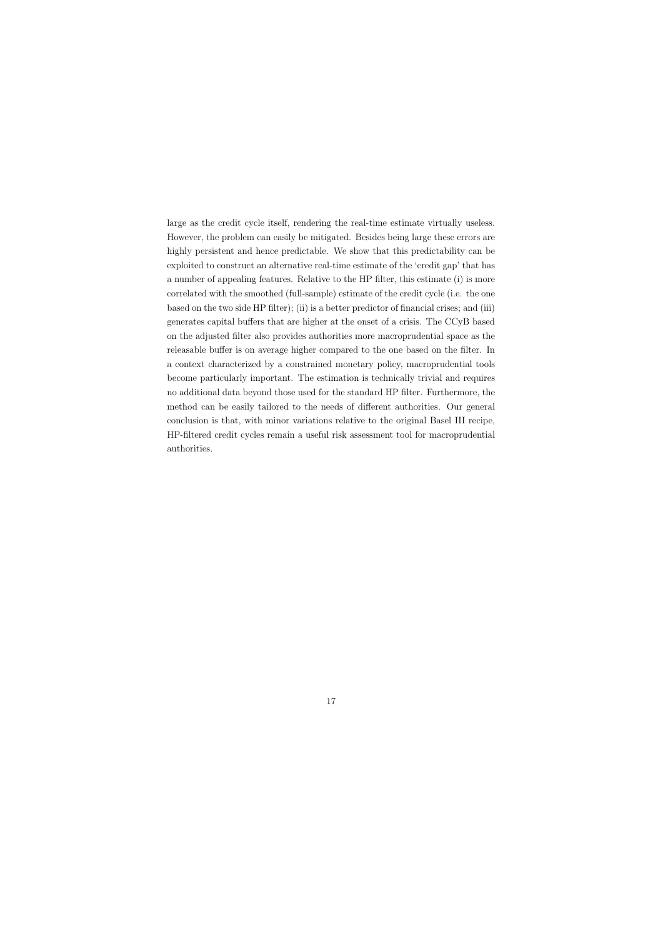large as the credit cycle itself, rendering the real-time estimate virtually useless. However, the problem can easily be mitigated. Besides being large these errors are highly persistent and hence predictable. We show that this predictability can be exploited to construct an alternative real-time estimate of the 'credit gap' that has a number of appealing features. Relative to the HP filter, this estimate (i) is more correlated with the smoothed (full-sample) estimate of the credit cycle (i.e. the one based on the two side HP filter); (ii) is a better predictor of financial crises; and (iii) generates capital buffers that are higher at the onset of a crisis. The CCyB based on the adjusted filter also provides authorities more macroprudential space as the releasable buffer is on average higher compared to the one based on the filter. In a context characterized by a constrained monetary policy, macroprudential tools become particularly important. The estimation is technically trivial and requires no additional data beyond those used for the standard HP filter. Furthermore, the method can be easily tailored to the needs of different authorities. Our general conclusion is that, with minor variations relative to the original Basel III recipe, HP-filtered credit cycles remain a useful risk assessment tool for macroprudential authorities.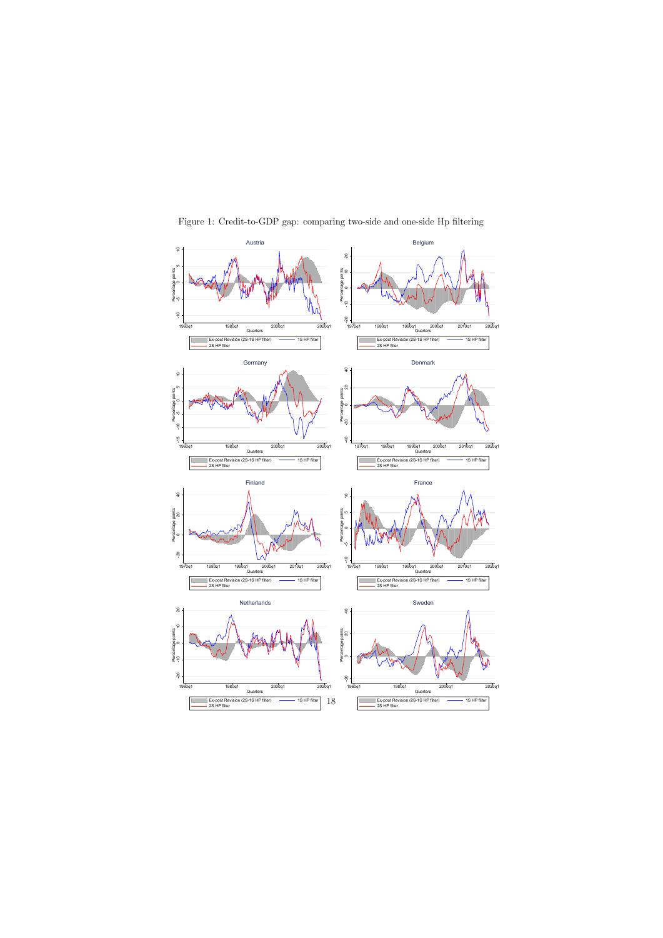<span id="page-18-0"></span>

Figure 1: Credit-to-GDP gap: comparing two-side and one-side Hp filtering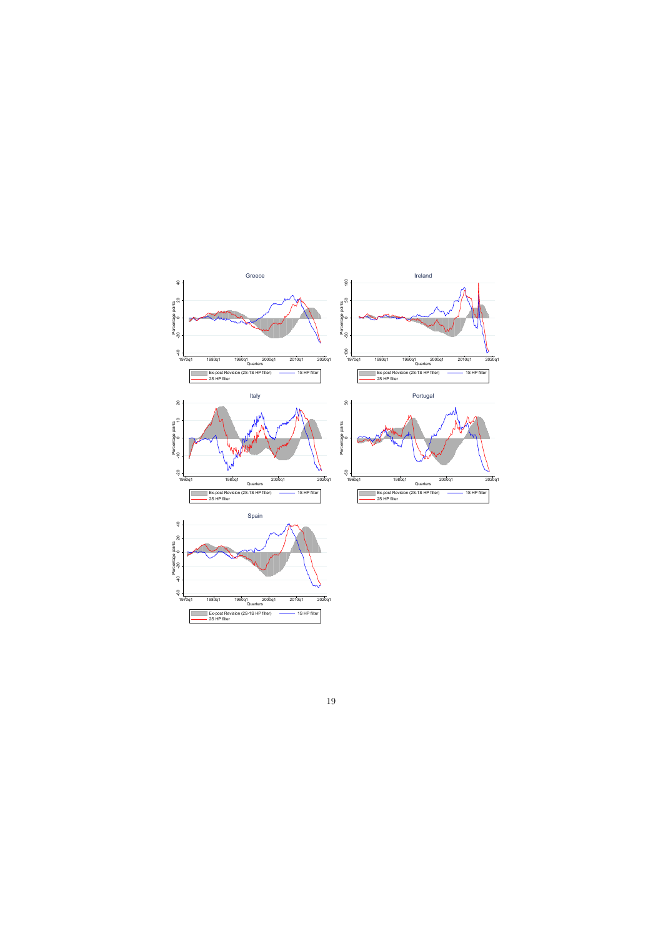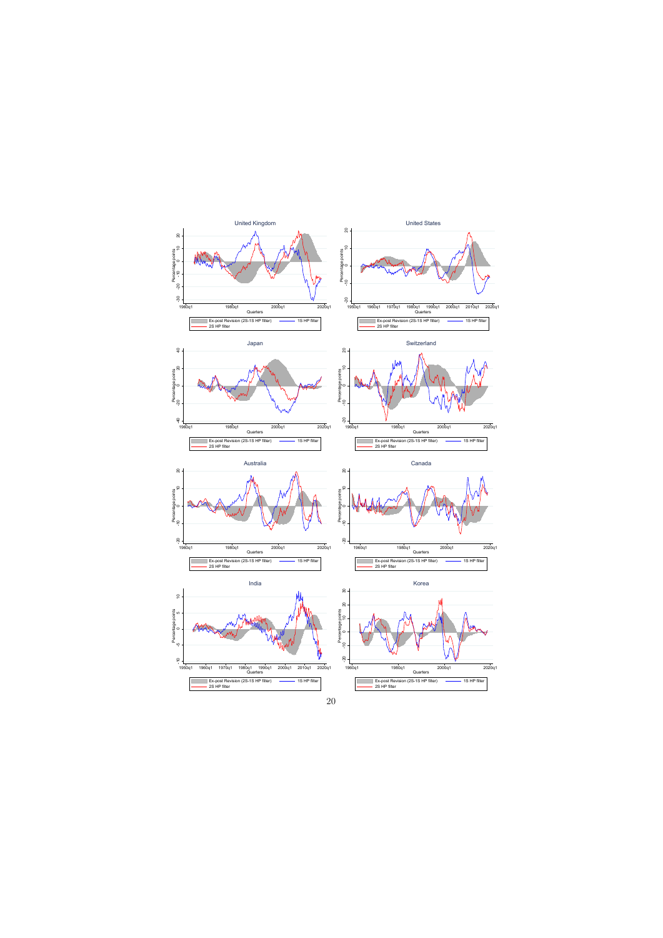















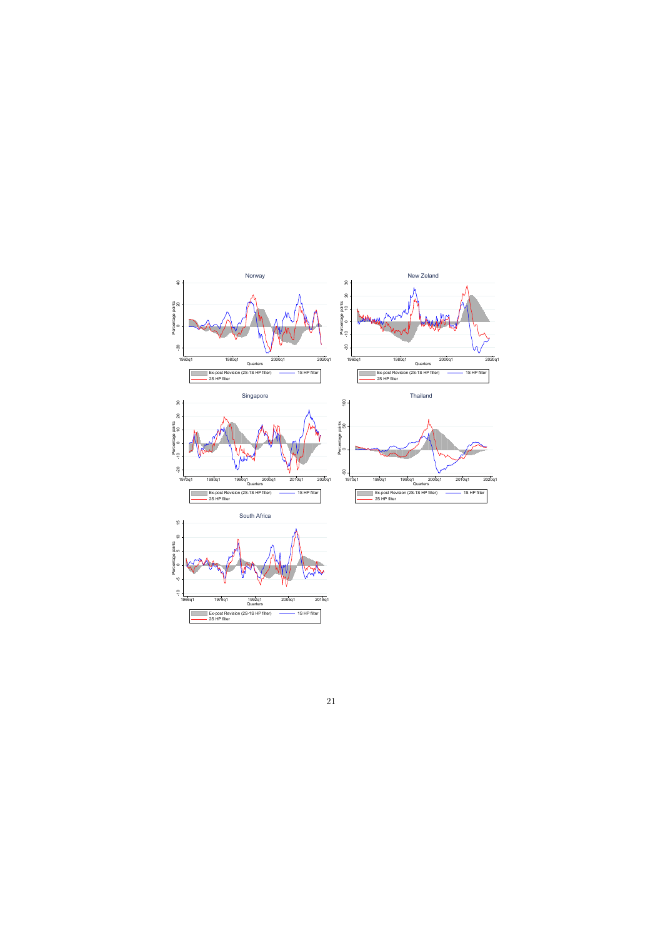

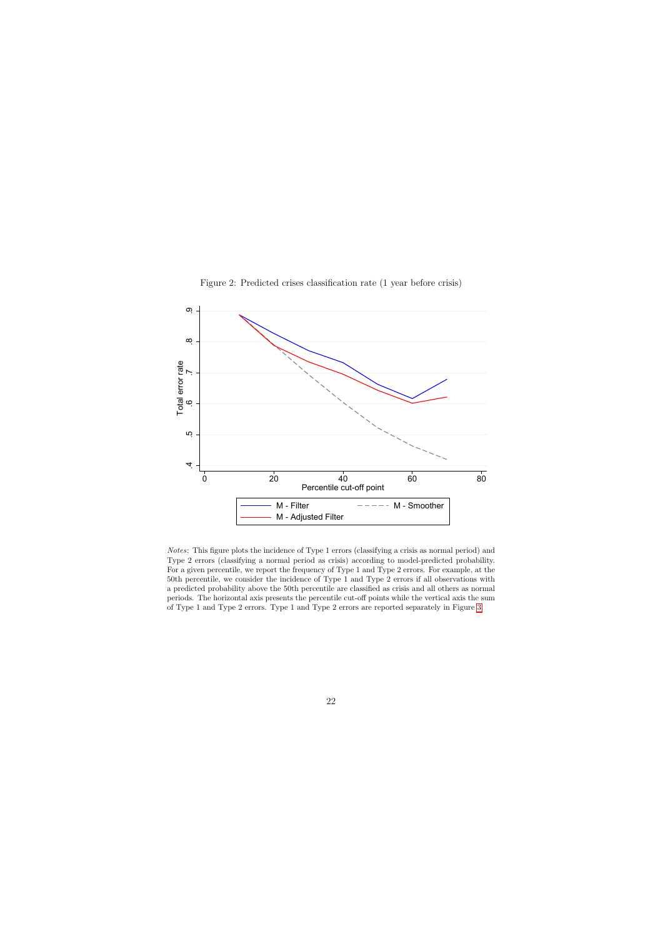<span id="page-22-0"></span>

Figure 2: Predicted crises classification rate (1 year before crisis)

Notes: This figure plots the incidence of Type 1 errors (classifying a crisis as normal period) and Type 2 errors (classifying a normal period as crisis) according to model-predicted probability. For a given percentile, we report the frequency of Type 1 and Type 2 errors. For example, at the 50th percentile, we consider the incidence of Type 1 and Type 2 errors if all observations with a predicted probability above the 50th percentile are classified as crisis and all others as normal periods. The horizontal axis presents the percentile cut-off points while the vertical axis the sum of Type 1 and Type 2 errors. Type 1 and Type 2 errors are reported separately in Figure [3.](#page-23-0)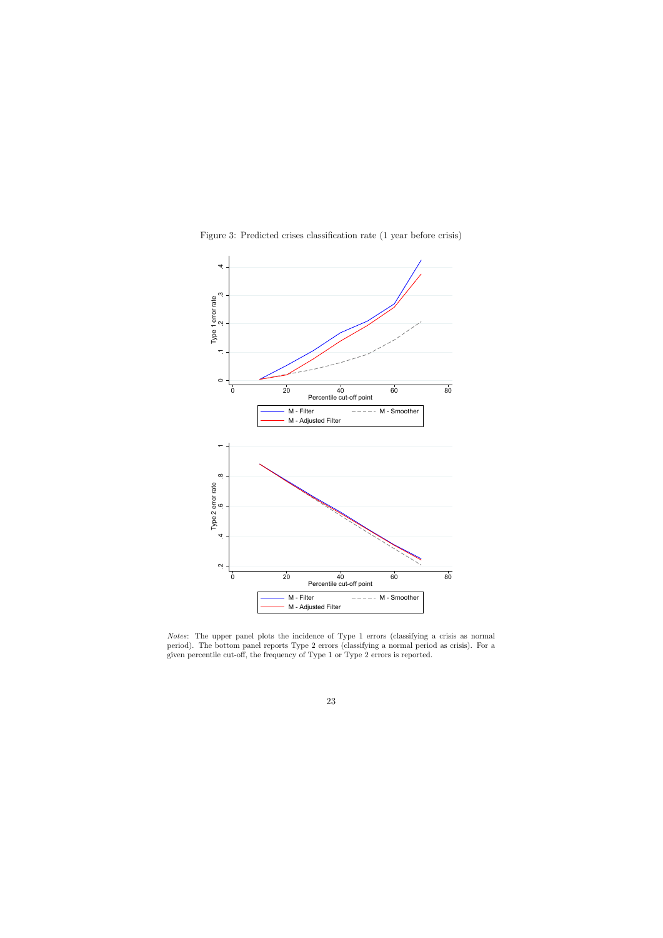<span id="page-23-0"></span>

Notes: The upper panel plots the incidence of Type 1 errors (classifying a crisis as normal period). The bottom panel reports Type 2 errors (classifying a normal period as crisis). For a given percentile cut-off, the frequency of Type 1 or Type 2 errors is reported.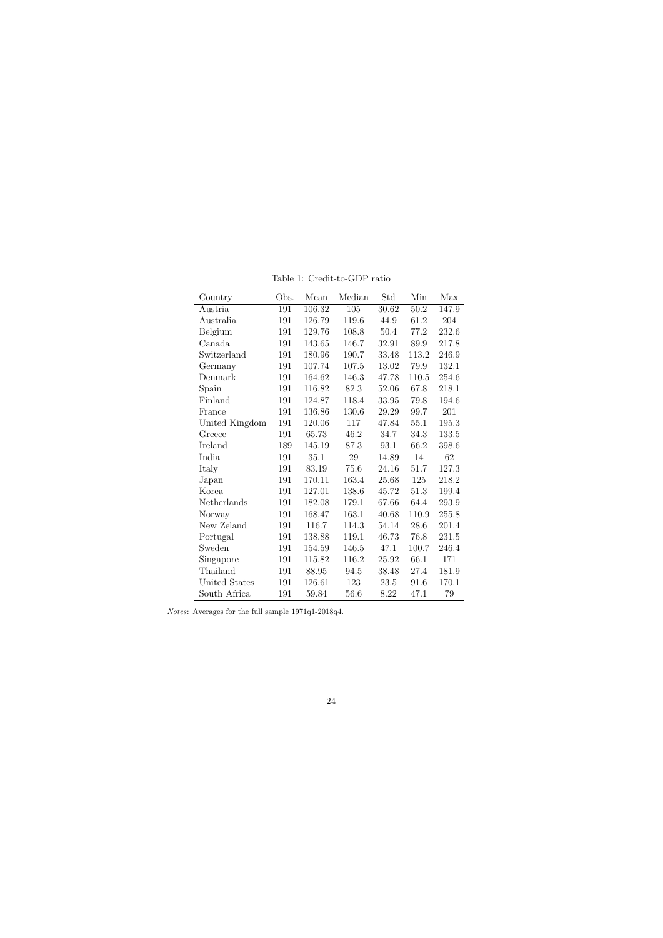<span id="page-24-0"></span>

| Country        | Obs. | Mean   | Median | Std   | Min      | Max   |
|----------------|------|--------|--------|-------|----------|-------|
| Austria        | 191  | 106.32 | 105    | 30.62 | $50.2\,$ | 147.9 |
| Australia      | 191  | 126.79 | 119.6  | 44.9  | 61.2     | 204   |
| Belgium        | 191  | 129.76 | 108.8  | 50.4  | 77.2     | 232.6 |
| Canada         | 191  | 143.65 | 146.7  | 32.91 | 89.9     | 217.8 |
| Switzerland    | 191  | 180.96 | 190.7  | 33.48 | 113.2    | 246.9 |
| Germany        | 191  | 107.74 | 107.5  | 13.02 | 79.9     | 132.1 |
| Denmark        | 191  | 164.62 | 146.3  | 47.78 | 110.5    | 254.6 |
| Spain          | 191  | 116.82 | 82.3   | 52.06 | 67.8     | 218.1 |
| Finland        | 191  | 124.87 | 118.4  | 33.95 | 79.8     | 194.6 |
| France         | 191  | 136.86 | 130.6  | 29.29 | 99.7     | 201   |
| United Kingdom | 191  | 120.06 | 117    | 47.84 | 55.1     | 195.3 |
| Greece         | 191  | 65.73  | 46.2   | 34.7  | 34.3     | 133.5 |
| Ireland        | 189  | 145.19 | 87.3   | 93.1  | 66.2     | 398.6 |
| India          | 191  | 35.1   | 29     | 14.89 | 14       | 62    |
| Italy          | 191  | 83.19  | 75.6   | 24.16 | 51.7     | 127.3 |
| Japan          | 191  | 170.11 | 163.4  | 25.68 | 125      | 218.2 |
| Korea          | 191  | 127.01 | 138.6  | 45.72 | 51.3     | 199.4 |
| Netherlands    | 191  | 182.08 | 179.1  | 67.66 | 64.4     | 293.9 |
| Norway         | 191  | 168.47 | 163.1  | 40.68 | 110.9    | 255.8 |
| New Zeland     | 191  | 116.7  | 114.3  | 54.14 | 28.6     | 201.4 |
| Portugal       | 191  | 138.88 | 119.1  | 46.73 | 76.8     | 231.5 |
| Sweden         | 191  | 154.59 | 146.5  | 47.1  | 100.7    | 246.4 |
| Singapore      | 191  | 115.82 | 116.2  | 25.92 | 66.1     | 171   |
| Thailand       | 191  | 88.95  | 94.5   | 38.48 | 27.4     | 181.9 |
| United States  | 191  | 126.61 | 123    | 23.5  | 91.6     | 170.1 |
| South Africa   | 191  | 59.84  | 56.6   | 8.22  | 47.1     | 79    |

Table 1: Credit-to-GDP ratio

Notes: Averages for the full sample 1971q1-2018q4.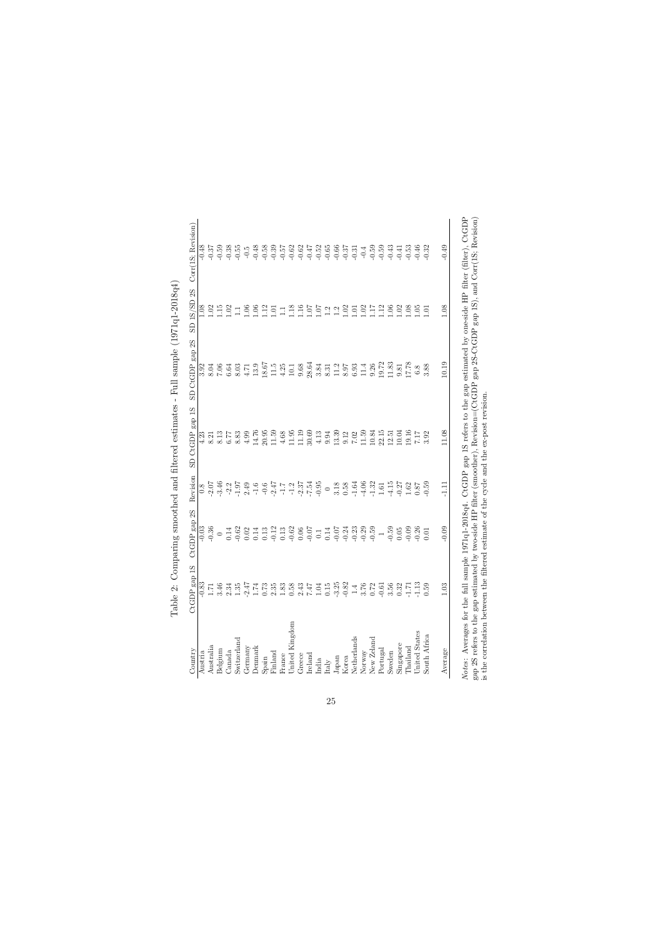<span id="page-25-0"></span>

| Country                     | Ω<br>CtGDP gap                                                    | 2S<br>CtGDP gap | Revision         | $_{\rm gap}$ 1S<br>SD CtGDP                                                                           | 2S<br>gap<br>SD CtGDP    | $S_{\rm C}$<br>1S/SD<br>GS | Corr(1S; Revision) |
|-----------------------------|-------------------------------------------------------------------|-----------------|------------------|-------------------------------------------------------------------------------------------------------|--------------------------|----------------------------|--------------------|
| Austria                     | $-0.83$                                                           |                 |                  |                                                                                                       |                          |                            |                    |
| Australia                   |                                                                   |                 |                  | $\begin{array}{c} 4.23 \\ 8.21 \end{array}$                                                           |                          |                            |                    |
| Belgium                     | 3.46                                                              |                 |                  |                                                                                                       |                          |                            |                    |
| Canada                      | $2.34$<br>$1.35$                                                  |                 |                  |                                                                                                       |                          |                            |                    |
| Switzerland                 |                                                                   |                 |                  | 31 7 83 86 7 85 86 96 97 98 97 98 97 98 98 98 99 90 90 91 92 93 94 95 96 96 97 98 97 98 97 97 97 97 9 |                          |                            |                    |
| Germany                     | $-2.47$                                                           |                 |                  |                                                                                                       |                          |                            |                    |
| Denmark                     | 1.74                                                              |                 |                  |                                                                                                       |                          |                            |                    |
| Spain                       | $0.73\,$                                                          |                 |                  |                                                                                                       |                          |                            |                    |
| Finland                     |                                                                   |                 |                  |                                                                                                       |                          |                            |                    |
| France                      |                                                                   |                 |                  |                                                                                                       |                          |                            |                    |
| United Kingdom              |                                                                   |                 |                  |                                                                                                       |                          |                            |                    |
| Greece                      |                                                                   |                 |                  |                                                                                                       |                          |                            |                    |
| Ireland                     |                                                                   |                 |                  |                                                                                                       |                          |                            |                    |
| India                       |                                                                   |                 |                  |                                                                                                       |                          |                            |                    |
| $\ensuremath{\text{ltaly}}$ |                                                                   |                 |                  |                                                                                                       |                          |                            |                    |
| Japan                       | $2.3888474028447672$                                              |                 |                  |                                                                                                       |                          |                            |                    |
| Korea                       |                                                                   |                 |                  |                                                                                                       |                          |                            |                    |
| Netherlands                 |                                                                   |                 |                  |                                                                                                       |                          |                            |                    |
| Normay                      |                                                                   |                 |                  |                                                                                                       |                          |                            |                    |
| New Zeland                  |                                                                   |                 |                  |                                                                                                       |                          |                            |                    |
| Portugal                    |                                                                   |                 |                  |                                                                                                       |                          |                            |                    |
| Sweden                      |                                                                   |                 |                  |                                                                                                       |                          |                            |                    |
| Singapore                   |                                                                   |                 |                  |                                                                                                       |                          |                            |                    |
| Thailand                    |                                                                   |                 |                  |                                                                                                       |                          |                            |                    |
| United States               | $\begin{array}{c} 61 \\ 9.56 \\ 0.32 \\ 1.13 \\ 0.59 \end{array}$ |                 | $0.87$<br>$0.59$ | $7.17 \newline 3.92$                                                                                  | $6.\overline{8}$<br>3.88 |                            |                    |
| South Africa                |                                                                   |                 |                  |                                                                                                       |                          |                            |                    |
| Average                     | $1.03\,$                                                          | $-0.09$         | $-1.11$          | 11.08                                                                                                 | 10.19                    | $1.08\,$                   | $-0.49$            |

*xoces*: Averages ior the tun sample 13 (14-20104+. Coto gap 15 refers to the gap estimated by one-side in the (mter), CotoDr<br>gap 2S refers to the gap estimated by two-side HP filter (smoother), Revision=(CtGDP gap 2S-CtGD Notes: Averages for the full sample 1971q1-2018q4. CtGDP gap 1S refers to the gap estimated by one-side HP filter), CtGDP gap 2S refers to the gap estimated by two-side HP filter (smoother), Revision=(CtGDP gap 2S-CtGDP gap 1S), and Corr(1S; Revision) is the correlation between the filtered estimate of the cycle and the ex-post revision.  $N<sub>O</sub>$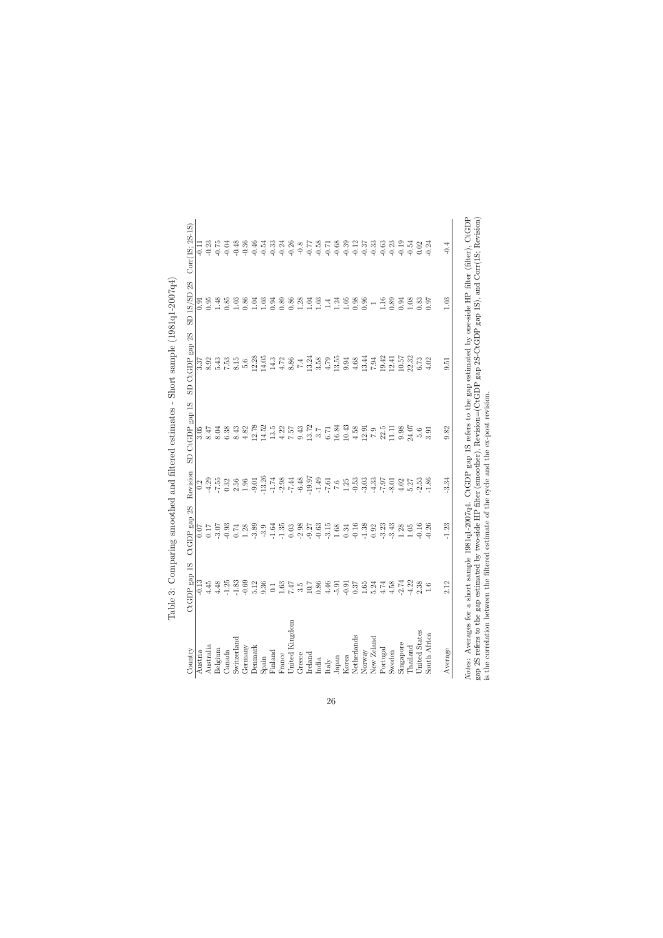<span id="page-26-0"></span>

|                                 | Table 3: Co     |                                                                                                                                                                                                                                                                                                                                                                                                                                            |                                                                                                                           | mparing smoothed and filtered estimates - | $Short$ sample $(1981q1 - 2007q4)$                                                                                                                                                                                               |                           |                   |
|---------------------------------|-----------------|--------------------------------------------------------------------------------------------------------------------------------------------------------------------------------------------------------------------------------------------------------------------------------------------------------------------------------------------------------------------------------------------------------------------------------------------|---------------------------------------------------------------------------------------------------------------------------|-------------------------------------------|----------------------------------------------------------------------------------------------------------------------------------------------------------------------------------------------------------------------------------|---------------------------|-------------------|
| $\mathop{\rm Country}\nolimits$ | 1S<br>CtGDP gap | 2S<br>CtGDP gap                                                                                                                                                                                                                                                                                                                                                                                                                            | Revision                                                                                                                  | CtGDP gap 1S<br>$\overline{c}$            | CtGDP gap 2S<br>$\overline{5}$                                                                                                                                                                                                   | 2S<br>$1S/SD$<br><b>G</b> | $Corr(1S; 2S-1S)$ |
| Austria                         | $-0.13$         |                                                                                                                                                                                                                                                                                                                                                                                                                                            |                                                                                                                           |                                           |                                                                                                                                                                                                                                  |                           |                   |
| Australia                       | $4.45$          |                                                                                                                                                                                                                                                                                                                                                                                                                                            |                                                                                                                           |                                           |                                                                                                                                                                                                                                  |                           |                   |
| Belgium                         | 4.48            |                                                                                                                                                                                                                                                                                                                                                                                                                                            |                                                                                                                           |                                           |                                                                                                                                                                                                                                  |                           |                   |
| Canada                          |                 |                                                                                                                                                                                                                                                                                                                                                                                                                                            |                                                                                                                           |                                           |                                                                                                                                                                                                                                  |                           |                   |
| Switzerland                     |                 |                                                                                                                                                                                                                                                                                                                                                                                                                                            |                                                                                                                           |                                           |                                                                                                                                                                                                                                  |                           |                   |
| Germany                         |                 |                                                                                                                                                                                                                                                                                                                                                                                                                                            |                                                                                                                           |                                           |                                                                                                                                                                                                                                  |                           |                   |
| <b>Denmark</b>                  |                 |                                                                                                                                                                                                                                                                                                                                                                                                                                            |                                                                                                                           |                                           |                                                                                                                                                                                                                                  |                           |                   |
| $S$ pain                        |                 | $\begin{array}{l} \mathbb{C} & \mathbb{C} & \mathbb{C} \\ \mathbb{C} & \mathbb{C} & \mathbb{C} \\ \mathbb{C} & \mathbb{C} & \mathbb{C} \\ \mathbb{C} & \mathbb{C} & \mathbb{C} \\ \mathbb{C} & \mathbb{C} & \mathbb{C} \\ \mathbb{C} & \mathbb{C} & \mathbb{C} \\ \mathbb{C} & \mathbb{C} & \mathbb{C} \\ \mathbb{C} & \mathbb{C} & \mathbb{C} \\ \mathbb{C} & \mathbb{C} & \mathbb{C} \\ \mathbb{C} & \mathbb{C} & \mathbb{C} \\ \mathbb$ | a<br>이 하 形 없 영 영 리 영 보 영 작 % 이 없이 하 리 이 정 없이 있다. 이 영 정 이 영 정 영 이 있다.<br>이 작 다 이 어 그 이 나 어 나 어 머 나 나 나 나 이 아 놔 나 서 쉬 봐 아 나 |                                           | 5, 03 5, 03 5, 03 5, 03 5, 04 5, 05 5, 05 6, 05 5, 05 5, 05 6, 05 6, 05 6, 05 6, 05 6, 05 6, 05 6, 05 6, 05 6,<br>05 6, 05 6, 05 6, 05 6, 05 6, 05 6, 05 6, 05 6, 05 6, 05 6, 05 6, 05 6, 05 6, 05 6, 05 6, 05 6, 05 6, 05 6, 05 |                           |                   |
| Finland                         |                 |                                                                                                                                                                                                                                                                                                                                                                                                                                            |                                                                                                                           |                                           |                                                                                                                                                                                                                                  |                           |                   |
| France                          |                 |                                                                                                                                                                                                                                                                                                                                                                                                                                            |                                                                                                                           |                                           |                                                                                                                                                                                                                                  |                           |                   |
| United Kingdom                  |                 |                                                                                                                                                                                                                                                                                                                                                                                                                                            |                                                                                                                           |                                           |                                                                                                                                                                                                                                  |                           |                   |
| Greece                          |                 |                                                                                                                                                                                                                                                                                                                                                                                                                                            |                                                                                                                           |                                           |                                                                                                                                                                                                                                  |                           |                   |
| Ireland                         |                 |                                                                                                                                                                                                                                                                                                                                                                                                                                            |                                                                                                                           |                                           |                                                                                                                                                                                                                                  |                           |                   |
| India                           |                 |                                                                                                                                                                                                                                                                                                                                                                                                                                            |                                                                                                                           |                                           |                                                                                                                                                                                                                                  |                           |                   |
| $\ensuremath{\text{Italy}}$     |                 |                                                                                                                                                                                                                                                                                                                                                                                                                                            |                                                                                                                           |                                           |                                                                                                                                                                                                                                  |                           |                   |
| Japan                           |                 |                                                                                                                                                                                                                                                                                                                                                                                                                                            |                                                                                                                           |                                           |                                                                                                                                                                                                                                  |                           |                   |
| Korea                           |                 |                                                                                                                                                                                                                                                                                                                                                                                                                                            |                                                                                                                           |                                           |                                                                                                                                                                                                                                  |                           |                   |
| Netherlands                     |                 |                                                                                                                                                                                                                                                                                                                                                                                                                                            |                                                                                                                           |                                           |                                                                                                                                                                                                                                  |                           |                   |
|                                 |                 |                                                                                                                                                                                                                                                                                                                                                                                                                                            |                                                                                                                           |                                           |                                                                                                                                                                                                                                  |                           |                   |
| Norway<br>New Zeland            |                 |                                                                                                                                                                                                                                                                                                                                                                                                                                            |                                                                                                                           |                                           |                                                                                                                                                                                                                                  |                           |                   |
| Portugal                        |                 |                                                                                                                                                                                                                                                                                                                                                                                                                                            |                                                                                                                           |                                           |                                                                                                                                                                                                                                  |                           |                   |
| Sweden                          |                 |                                                                                                                                                                                                                                                                                                                                                                                                                                            |                                                                                                                           |                                           |                                                                                                                                                                                                                                  |                           |                   |
| Singapore                       |                 |                                                                                                                                                                                                                                                                                                                                                                                                                                            |                                                                                                                           |                                           |                                                                                                                                                                                                                                  |                           |                   |
| Phailand                        |                 |                                                                                                                                                                                                                                                                                                                                                                                                                                            |                                                                                                                           |                                           |                                                                                                                                                                                                                                  |                           |                   |
| <b>Jnited States</b>            |                 |                                                                                                                                                                                                                                                                                                                                                                                                                                            |                                                                                                                           |                                           |                                                                                                                                                                                                                                  |                           |                   |
| South Africa                    |                 |                                                                                                                                                                                                                                                                                                                                                                                                                                            |                                                                                                                           |                                           |                                                                                                                                                                                                                                  |                           |                   |
| Average                         | 2.12            | $-1.23$                                                                                                                                                                                                                                                                                                                                                                                                                                    | $-3.34$                                                                                                                   | 9.82                                      | 9.51                                                                                                                                                                                                                             | 1.03                      | $-0.4$            |
|                                 |                 |                                                                                                                                                                                                                                                                                                                                                                                                                                            |                                                                                                                           |                                           |                                                                                                                                                                                                                                  |                           |                   |

*Notes*: Averages for a short sample 1981q1-2007q4. CtGDP gap 1S refers to the gap estimated by one-side HP filter), CtGDP gap 2S refers to the gap estimated by two-side HP filter), woresters to the gap estimated by two-s Notes: Averages for a short sample 1981q1-2007q4. CtGDP gap 1S refers to the gap estimated by one-side HP filter), CtGDP gap 2S refers to the gap estimated by two-side HP filter (smoother), Revision=(CtGDP gap 2S-CtGDP gap 1S), and Corr(1S; Revision) is the correlation between the filtered estimate of the cycle and the ex-post revision.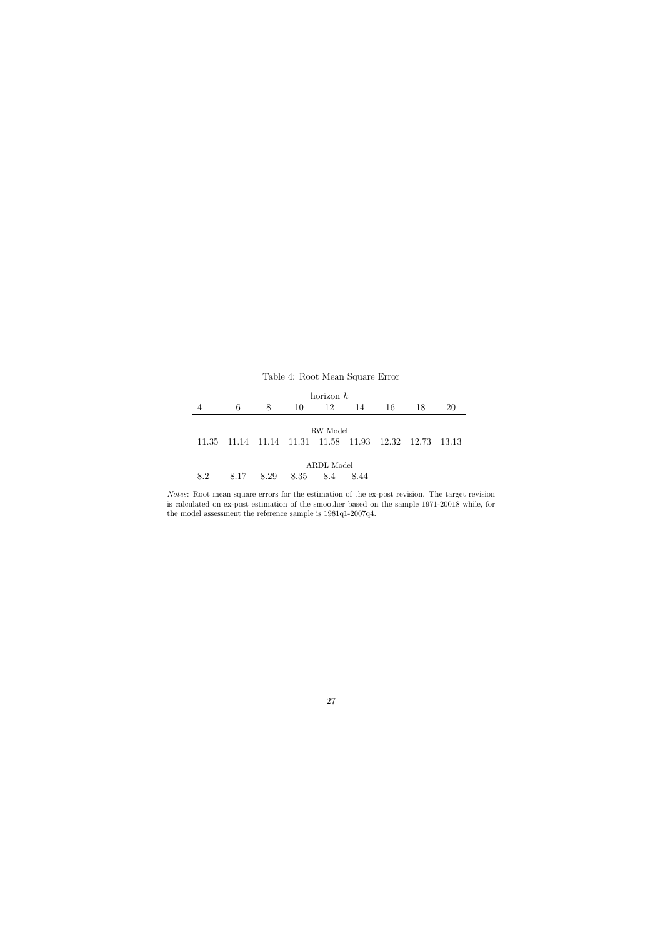|     |                                                 |      | Table 4: Root Mean Square Error |             |      |    |    |        |
|-----|-------------------------------------------------|------|---------------------------------|-------------|------|----|----|--------|
|     |                                                 |      |                                 | horizon $h$ |      |    |    |        |
|     | 6                                               | 8    | 10                              | 12          | 14   | 16 | 18 | 20     |
|     |                                                 |      |                                 | RW Model    |      |    |    |        |
|     | 11.35 11.14 11.14 11.31 11.58 11.93 12.32 12.73 |      |                                 |             |      |    |    | -13.13 |
|     |                                                 |      |                                 | ARDL Model  |      |    |    |        |
| 8.2 | 8.17                                            | 8.29 | 8.35                            | 8.4         | 8.44 |    |    |        |

<span id="page-27-0"></span>Notes: Root mean square errors for the estimation of the ex-post revision. The target revision is calculated on ex-post estimation of the smoother based on the sample 1971-20018 while, for the model assessment the reference sample is 1981q1-2007q4.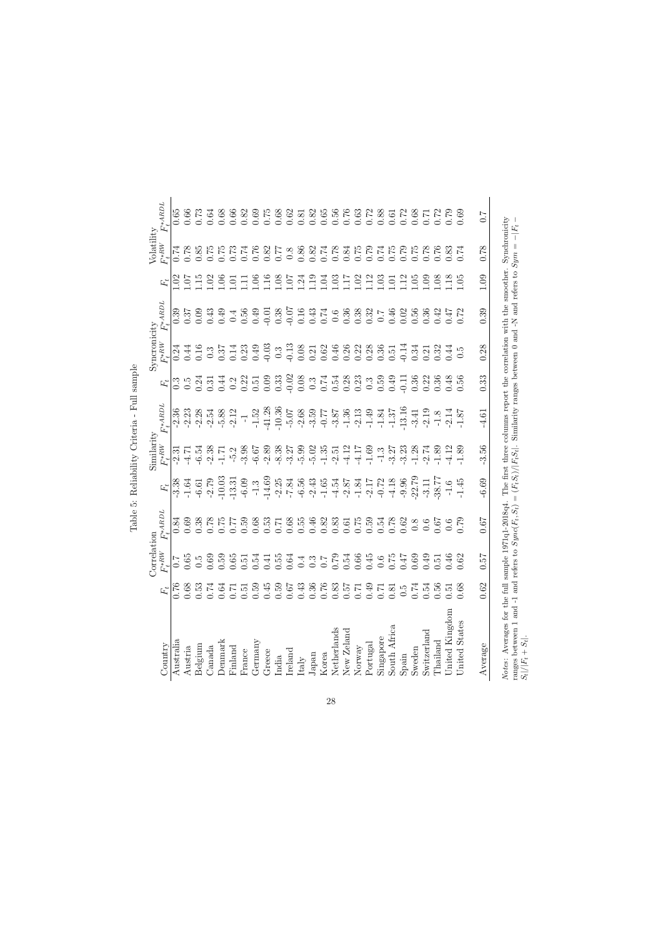<span id="page-28-0"></span>

| )<br>ſ                       |
|------------------------------|
| ŗ                            |
| ı<br>$\frac{1}{2}$<br>ļ<br>i |
| ś<br>j                       |
| $\ddot{\cdot}$<br>í<br>١     |

|                                                                                                                                                                                              |              | Correlati         | mor               |                                                     | $S$ imilarity                            |                                                                                                            |                                     | Syncronicity                                                                                                                                                                                                                                                                                                                                                                                                   |                                                                                       |                                                             | Volatility         |                                 |
|----------------------------------------------------------------------------------------------------------------------------------------------------------------------------------------------|--------------|-------------------|-------------------|-----------------------------------------------------|------------------------------------------|------------------------------------------------------------------------------------------------------------|-------------------------------------|----------------------------------------------------------------------------------------------------------------------------------------------------------------------------------------------------------------------------------------------------------------------------------------------------------------------------------------------------------------------------------------------------------------|---------------------------------------------------------------------------------------|-------------------------------------------------------------|--------------------|---------------------------------|
| Country                                                                                                                                                                                      | $F_t$        | $F_t^{*{\rm RW}}$ | $F_t^{\ast ABDL}$ | $\mathbf{F}_t$                                      | $F_t^{\ast RW}$                          | $F^{\ast}ABDL$                                                                                             |                                     | $F_t^{\ast RW}$                                                                                                                                                                                                                                                                                                                                                                                                | $F_t^{\ast}$ ARDL                                                                     |                                                             | $F_t^{\ast \, RW}$ | $F_t^{\ast ABDL}$               |
| Australia                                                                                                                                                                                    | 0.76         | 7.0               | 0.84              | $-3.38$                                             | $-2.31$                                  | $-2.36$                                                                                                    | $\mathbb{S}^2$                      | 0.24                                                                                                                                                                                                                                                                                                                                                                                                           | 0.39                                                                                  | $\approx$                                                   | 0.74               | 0.65                            |
| Austria                                                                                                                                                                                      | 0.68         | 0.65              | 0.69              | $-1.64$                                             | $-4.71$                                  | $-2.23$                                                                                                    | $0.\overline{5}$                    | 0.44                                                                                                                                                                                                                                                                                                                                                                                                           | 0.37                                                                                  | $\overline{0}$                                              |                    | 0.66                            |
| Belgium                                                                                                                                                                                      | 0.53         | 0.5               | 0.38              | $-6.61$                                             | $-6.54$                                  | $-2.28$                                                                                                    | 0.24                                | 0.16                                                                                                                                                                                                                                                                                                                                                                                                           | 0.09                                                                                  | $\frac{1.15}{1.02}$                                         | 0.85               | 0.73                            |
| Canada                                                                                                                                                                                       | 0.74         | 0.69              | 0.78              | $-2.79$                                             | $-2.38$<br>$-1.71$                       | $-2.54$                                                                                                    | 0.31                                | $0.3\,$                                                                                                                                                                                                                                                                                                                                                                                                        | 0.43                                                                                  |                                                             |                    | 0.64                            |
| <b>Denmark</b>                                                                                                                                                                               | 0.64         | 0.59              | 52.1              | $-10.03$                                            |                                          | $-5.88$                                                                                                    |                                     |                                                                                                                                                                                                                                                                                                                                                                                                                | 0.49                                                                                  |                                                             | 0.75               | 0.68                            |
| Finland                                                                                                                                                                                      | $0.71\,$     | 0.65              | 777               | $-13.31$                                            | $-5.2$                                   | $-2.12$                                                                                                    | $0.2$<br>$0.22$                     |                                                                                                                                                                                                                                                                                                                                                                                                                | 0.56                                                                                  |                                                             | 0.73               | 0.66                            |
| France                                                                                                                                                                                       | 0.51         | 0.51              | 0.59              | $-6.09$                                             | $-3.98$                                  | $\overline{\mathbb{F}}$                                                                                    |                                     |                                                                                                                                                                                                                                                                                                                                                                                                                |                                                                                       | $\frac{1}{1}$ . 01<br>1.11                                  | 0.74               | 0.82                            |
| Germany                                                                                                                                                                                      | 0.59         | 0.54              | 0.68              | $-1.3$                                              | $-6.67$                                  | $-1.52$                                                                                                    | 0.51                                |                                                                                                                                                                                                                                                                                                                                                                                                                | 0.49                                                                                  |                                                             | 0.76               | 0.69                            |
| Greece                                                                                                                                                                                       | 0.45         | 0.41              | 0.53              | $-14.69$                                            | $-2.89$                                  | $-41.28$<br>$-10.36$                                                                                       | $0.09$<br>$0.33$<br>$0.02$          | $\begin{array}{cccccccccc} 5, & \stackrel{+}{4} & 33 & \stackrel{+}{4} & 33 & \stackrel{+}{4} & 33 & \stackrel{+}{4} & 33 & \stackrel{+}{4} & 33 & \stackrel{+}{4} & 33 & \stackrel{+}{4} & 33 & \stackrel{+}{4} & 34 & \stackrel{+}{4} & 34 & \stackrel{+}{4} & 35 & \stackrel{+}{4} & 36 & \stackrel{+}{4} & 36 & \stackrel{+}{4} & 36 & \stackrel{+}{4} & 36 & \stackrel{+}{4} & 36 & \stackrel{+}{4} & 36$ | $-0.01$<br>0.38<br>0.07<br>0.16                                                       | $\begin{array}{c} 1.16 \\ 1.08 \\ 1.07 \\ 1.24 \end{array}$ | 0.82               | 0.75                            |
| India                                                                                                                                                                                        | 0.59         | 0.55              | 0.71              | $-2.25$                                             | $-8.38$                                  |                                                                                                            |                                     |                                                                                                                                                                                                                                                                                                                                                                                                                |                                                                                       |                                                             | 0.77               | 0.68                            |
| $_{\rm Ireland}$                                                                                                                                                                             | 79.0         | 0.64              | 0.68              | $-7.84$                                             | $-3.27$                                  | $-5.07$<br>$-2.68$                                                                                         |                                     |                                                                                                                                                                                                                                                                                                                                                                                                                |                                                                                       |                                                             | 0.8                | 0.62                            |
| Italy                                                                                                                                                                                        | 0.43         | 0.4               | 0.55              | $-6.56$                                             | $-5.99$                                  |                                                                                                            | $0.08\,$                            |                                                                                                                                                                                                                                                                                                                                                                                                                |                                                                                       |                                                             | 0.86               | 0.81                            |
| Japan                                                                                                                                                                                        | 0.36         | $0.\overline{3}$  | 0.46              | $-2.43$                                             | $-5.02$                                  | $-3.59$                                                                                                    |                                     |                                                                                                                                                                                                                                                                                                                                                                                                                |                                                                                       | 1.19                                                        | 0.82               | 0.82                            |
| Korea                                                                                                                                                                                        | 0.76         | $\overline{C}$    | 0.82              | $-1.65$                                             | $-1.35$                                  |                                                                                                            |                                     |                                                                                                                                                                                                                                                                                                                                                                                                                |                                                                                       | 1.04                                                        | 0.74               | 0.65                            |
| Netherlands                                                                                                                                                                                  | 0.83         | 0.79              | 0.83              |                                                     | $-2.51$<br>$-4.17$<br>$-4.17$<br>$-1.69$ |                                                                                                            | $0.3$<br>$0.74$<br>$0.54$<br>$0.23$ |                                                                                                                                                                                                                                                                                                                                                                                                                |                                                                                       | 1.03                                                        | 0.78               | 0.56                            |
| New Zeland                                                                                                                                                                                   | 0.57         | 0.54              |                   |                                                     |                                          |                                                                                                            |                                     |                                                                                                                                                                                                                                                                                                                                                                                                                |                                                                                       | $1.17$<br>$1.02$                                            | 0.84               | 0.76                            |
| Norway                                                                                                                                                                                       | $0.71\,$     | 0.66              | $0.61$<br>$0.75$  |                                                     |                                          |                                                                                                            |                                     |                                                                                                                                                                                                                                                                                                                                                                                                                |                                                                                       |                                                             | 0.75               | 0.63                            |
| Portugal                                                                                                                                                                                     | 0.49         | 0.45              | 0.59              | $-4.54$<br>$-2.87$<br>$-1.84$<br>$-0.72$<br>$-4.18$ |                                          | $-0.77$<br>$-0.38$<br>$-0.39$<br>$-0.39$<br>$-0.39$<br>$-0.39$<br>$-0.39$<br>$-0.39$<br>$-0.39$<br>$-0.39$ | $0.3$<br>$0.59$                     |                                                                                                                                                                                                                                                                                                                                                                                                                | $\begin{array}{c} 0.43 \\ 0.74 \\ 0.9 \\ 0.38 \\ 0.32 \\ 0.46 \\ 0.02 \\ \end{array}$ | 1.12                                                        | 0.79               | 0.72                            |
| Singapore                                                                                                                                                                                    | 0.71         | 0.6               | $0.54$<br>$0.78$  |                                                     | $-1.3$                                   |                                                                                                            |                                     |                                                                                                                                                                                                                                                                                                                                                                                                                |                                                                                       | $1.03\,$                                                    | $0.74$<br>0.75     | 0.88                            |
| South Africa                                                                                                                                                                                 | 0.81         | 0.75              |                   |                                                     | $-3.27$                                  |                                                                                                            | 0.49                                |                                                                                                                                                                                                                                                                                                                                                                                                                |                                                                                       | 1.01                                                        |                    | 0.61                            |
| $\operatorname{Spin}$                                                                                                                                                                        | $\ddot{0}$ . | 0.47              | 0.62              | $-9.96$                                             | $-3.23$                                  |                                                                                                            | $-0.11$                             |                                                                                                                                                                                                                                                                                                                                                                                                                |                                                                                       | 1.12                                                        | 0.79               | 0.72                            |
| Sweden                                                                                                                                                                                       | 0.74         | 0.69              |                   | 22.79                                               | $-1.28$                                  |                                                                                                            | 0.36                                | 0.34                                                                                                                                                                                                                                                                                                                                                                                                           | 0.56                                                                                  | 1.05                                                        | 0.75               | 0.68                            |
| Switzerland                                                                                                                                                                                  | 0.54         | 64.0              | $\frac{8}{0.6}$   | $-3.11$                                             |                                          | $-2.19$                                                                                                    | 0.22                                |                                                                                                                                                                                                                                                                                                                                                                                                                | 0.36                                                                                  | 1.09                                                        | 0.78               | $\overline{C}$ . $\overline{C}$ |
| $\Gamma$ hailand                                                                                                                                                                             | 0.56         | 0.51              | 0.67              |                                                     | $74.89$<br>$-1.89$<br>$-1.89$<br>$-1.89$ | $-1.8$<br>$-2.14$<br>$-1.87$                                                                               | 0.36                                | $0.32$<br>$0.34$<br>$0.5$                                                                                                                                                                                                                                                                                                                                                                                      | 0.47<br>0.47<br>0.72                                                                  | 0.08                                                        | 0.76               | 0.72                            |
| United Kingdom                                                                                                                                                                               | 0.51         | 0.46              | $0.6$<br>0.79     | $\frac{38.77}{-1.45}$                               |                                          |                                                                                                            | 0.56                                |                                                                                                                                                                                                                                                                                                                                                                                                                |                                                                                       | 1.18                                                        | 0.83               | 0.79                            |
| United States                                                                                                                                                                                | 0.68         | 0.62              |                   |                                                     |                                          |                                                                                                            |                                     |                                                                                                                                                                                                                                                                                                                                                                                                                |                                                                                       | $-1.05$                                                     |                    | 0.69                            |
| Average                                                                                                                                                                                      | 0.62         | $\sqrt{250}$      | 0.67              | 6.69                                                | 3.56                                     | 4.61                                                                                                       | 0.33                                | 0.28                                                                                                                                                                                                                                                                                                                                                                                                           | 0.39                                                                                  | 1.09                                                        | 0.78               | $\overline{C}$                  |
| Notes: Averages for the full sample 1971q1-2018q4. The first three columns report the correlation with the smoother.<br>ranges between 1 and -1 and refers to $\operatorname{Symc}(F_t,S_t)$ |              |                   |                   | $=(F_tS_t)/ F_tS_t .$                               |                                          | Similarity ranges between 0 and -N                                                                         |                                     |                                                                                                                                                                                                                                                                                                                                                                                                                |                                                                                       | and refers to $Sym =$                                       | Synchronicity      | $- F_t $                        |
| $S_t \left  / \left  F_t + S_t \right  \right. .$                                                                                                                                            |              |                   |                   |                                                     |                                          |                                                                                                            |                                     |                                                                                                                                                                                                                                                                                                                                                                                                                |                                                                                       |                                                             |                    |                                 |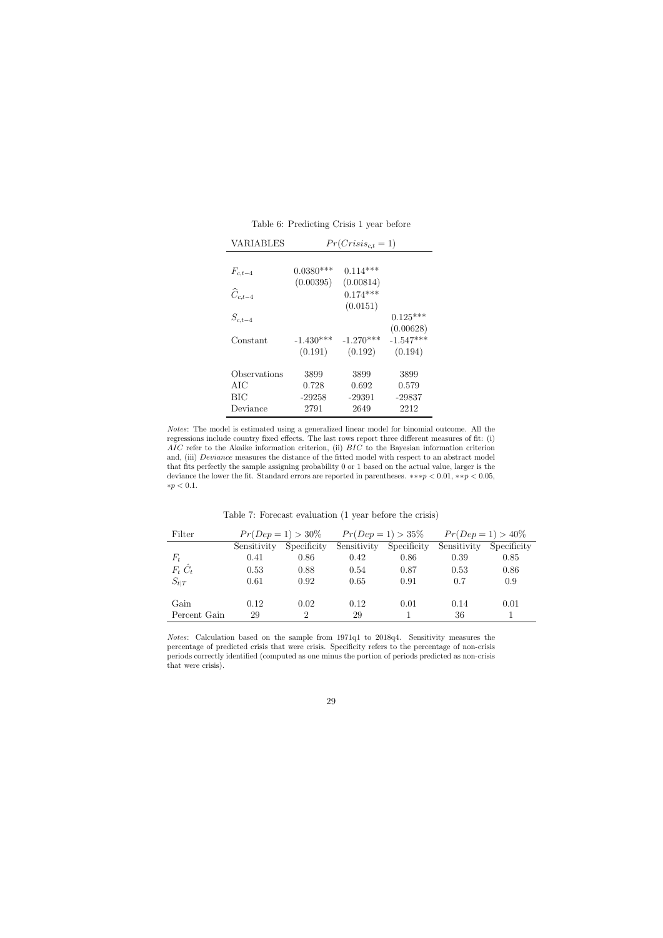| $0.0380***$ | $0.114***$  |                      |
|-------------|-------------|----------------------|
| (0.00395)   | (0.00814)   |                      |
|             | $0.174***$  |                      |
|             | (0.0151)    |                      |
|             |             | $0.125***$           |
|             |             | (0.00628)            |
| $-1.430***$ | $-1.270***$ | $-1.547***$          |
| (0.191)     | (0.192)     | (0.194)              |
|             |             |                      |
| 3899        | 3899        | 3899                 |
| 0.728       | 0.692       | 0.579                |
| $-29258$    | $-29391$    | $-29837$             |
| 2791        | 2649        | 2212                 |
|             |             | $Pr(Crisis_{c,t}=1)$ |

Table 6: Predicting Crisis 1 year before

<span id="page-29-0"></span>Notes: The model is estimated using a generalized linear model for binomial outcome. All the regressions include country fixed effects. The last rows report three different measures of fit: (i) AIC refer to the Akaike information criterion, (ii) BIC to the Bayesian information criterion and, (iii) Deviance measures the distance of the fitted model with respect to an abstract model that fits perfectly the sample assigning probability 0 or 1 based on the actual value, larger is the deviance the lower the fit. Standard errors are reported in parentheses.  $**p < 0.01, **p < 0.05$ ,  ${\ast}p < 0.1.$ 

Table 7: Forecast evaluation (1 year before the crisis)

| Filter          |             | $Pr(Dep = 1) > 30\%$ |             | $Pr(Dep = 1) > 35\%$ | $Pr(Dep = 1) > 40\%$ |             |
|-----------------|-------------|----------------------|-------------|----------------------|----------------------|-------------|
|                 | Sensitivity | Specificity          | Sensitivity | Specificity          | Sensitivity          | Specificity |
| $F_t$           | 0.41        | 0.86                 | 0.42        | 0.86                 | 0.39                 | 0.85        |
| $F_t \hat{C}_t$ | 0.53        | 0.88                 | 0.54        | 0.87                 | 0.53                 | 0.86        |
| $S_{t}$         | 0.61        | 0.92                 | 0.65        | 0.91                 | 0.7                  | 0.9         |
|                 |             |                      |             |                      |                      |             |
| Gain            | 0.12        | 0.02                 | 0.12        | 0.01                 | 0.14                 | 0.01        |
| Percent Gain    | 29          | 2                    | 29          |                      | 36                   |             |

<span id="page-29-1"></span>Notes: Calculation based on the sample from 1971q1 to 2018q4. Sensitivity measures the percentage of predicted crisis that were crisis. Specificity refers to the percentage of non-crisis periods correctly identified (computed as one minus the portion of periods predicted as non-crisis that were crisis).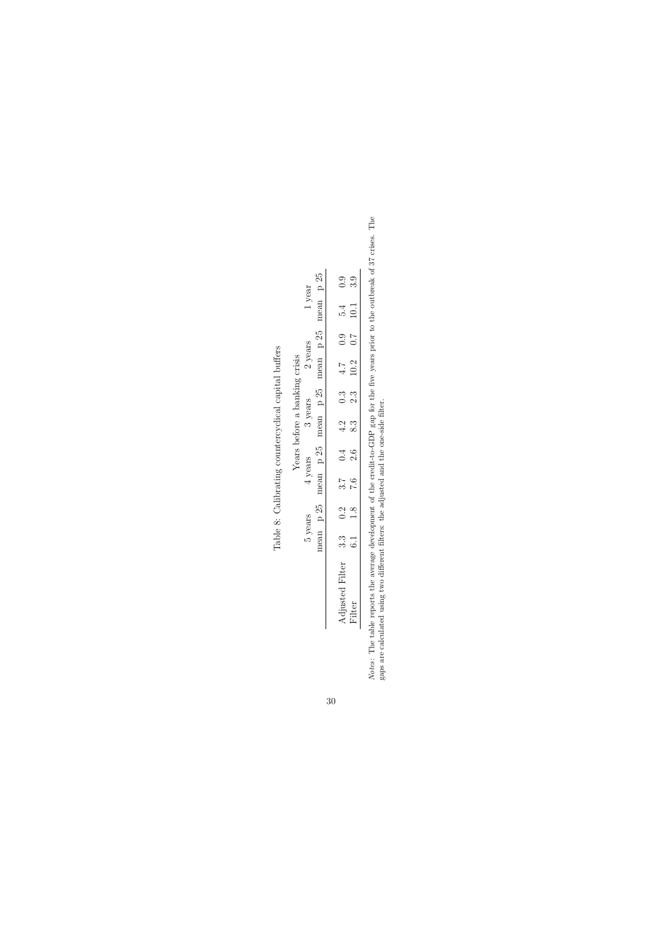|                 |           |     |                  |           | Years before a banking crisis |                  |           |                  |                    |                |
|-----------------|-----------|-----|------------------|-----------|-------------------------------|------------------|-----------|------------------|--------------------|----------------|
|                 | 5 years   |     | 4 years          |           | 3 years                       |                  | 2 years   |                  | 1 year             |                |
|                 | nean p 25 |     |                  | nean p 25 | mean p 25                     |                  | mean p 25 |                  | mean p 25          |                |
|                 |           |     |                  |           |                               |                  |           |                  |                    |                |
| Adjusted Filter | 3.3       | 0.2 | $3.\overline{7}$ | 0.4       | 4.2                           | $0.\overline{3}$ | 4.7       | 0.9              |                    |                |
|                 | 6.1       | 1.8 | 0.7              | 2.6       | 8.3                           | 2.3              | 10.2      | $\overline{C}$ . | $\frac{5.4}{10.1}$ | 0.<br>၁ က<br>၁ |

<span id="page-30-0"></span>Table 8: Calibrating countercyclical capital buffers Table 8: Calibrating countercyclical capital buffers

*Notes*: The table reports the average development of the credit-to-GDP gap for the five years prior to the outbreak of 37 crises. The gaps are calculated using two different filters: the adjusted and the one-side filter. Notes: The table reports the average development of the credit-to-GDP gap for the five years prior to the outbreak of 37 crises. The gaps are calculated using two different filters: the adjusted and the one-side filter.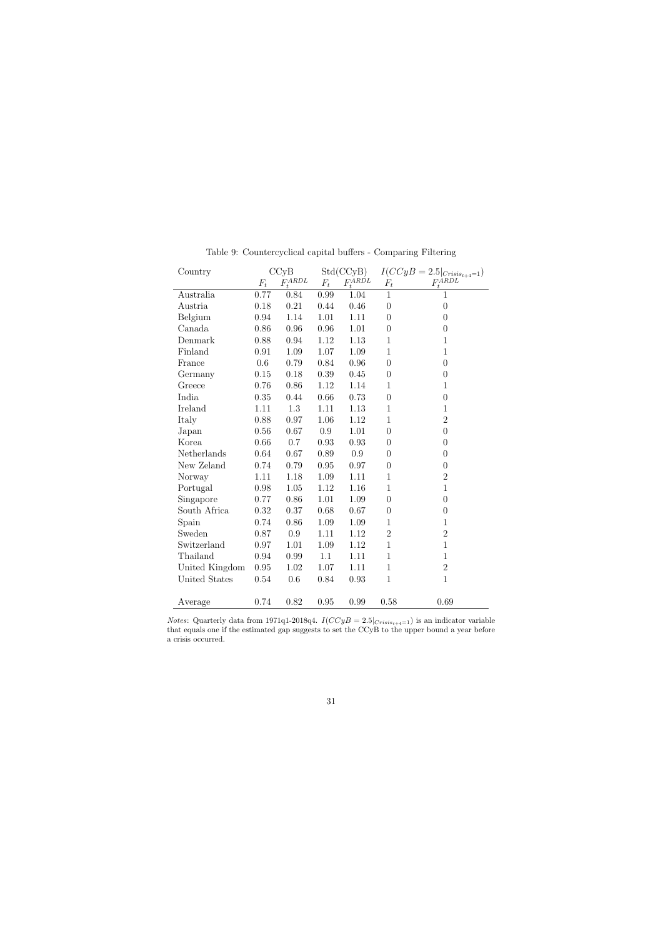<span id="page-31-0"></span>

| Country        |       | CCvB         |       | Std(CCyB)            |                  | $I(CCyB = 2.5 _{Crisis_{t+4}=1})$ |
|----------------|-------|--------------|-------|----------------------|------------------|-----------------------------------|
|                | $F_t$ | $F_t^{ARDL}$ | $F_t$ | $F_t^{AR\acute{D}L}$ | $F_t$            | $F_t^{ARDL}$                      |
| Australia      | 0.77  | 0.84         | 0.99  | 1.04                 | $\mathbf{1}$     | 1                                 |
| Austria        | 0.18  | 0.21         | 0.44  | 0.46                 | $\overline{0}$   | $\boldsymbol{0}$                  |
| Belgium        | 0.94  | 1.14         | 1.01  | 1.11                 | $\overline{0}$   | $\boldsymbol{0}$                  |
| Canada         | 0.86  | 0.96         | 0.96  | 1.01                 | $\boldsymbol{0}$ | $\overline{0}$                    |
| Denmark        | 0.88  | 0.94         | 1.12  | 1.13                 | $\mathbf 1$      | $\mathbf{1}$                      |
| Finland        | 0.91  | 1.09         | 1.07  | 1.09                 | $\mathbf{1}$     | $\mathbf{1}$                      |
| France         | 0.6   | 0.79         | 0.84  | 0.96                 | $\overline{0}$   | $\boldsymbol{0}$                  |
| Germany        | 0.15  | 0.18         | 0.39  | 0.45                 | $\overline{0}$   | $\overline{0}$                    |
| Greece         | 0.76  | 0.86         | 1.12  | 1.14                 | $\mathbf 1$      | $\mathbf{1}$                      |
| India          | 0.35  | 0.44         | 0.66  | 0.73                 | $\overline{0}$   | $\overline{0}$                    |
| Ireland        | 1.11  | 1.3          | 1.11  | 1.13                 | $\mathbf 1$      | $\mathbf{1}$                      |
| Italy          | 0.88  | 0.97         | 1.06  | 1.12                 | $\mathbf 1$      | $\overline{2}$                    |
| Japan          | 0.56  | 0.67         | 0.9   | 1.01                 | $\boldsymbol{0}$ | $\overline{0}$                    |
| Korea          | 0.66  | 0.7          | 0.93  | 0.93                 | $\boldsymbol{0}$ | $\boldsymbol{0}$                  |
| Netherlands    | 0.64  | 0.67         | 0.89  | 0.9                  | $\overline{0}$   | $\overline{0}$                    |
| New Zeland     | 0.74  | 0.79         | 0.95  | 0.97                 | $\overline{0}$   | $\boldsymbol{0}$                  |
| Norway         | 1.11  | 1.18         | 1.09  | 1.11                 | $\mathbf 1$      | $\overline{2}$                    |
| Portugal       | 0.98  | 1.05         | 1.12  | 1.16                 | $\mathbf 1$      | $\mathbf{1}$                      |
| Singapore      | 0.77  | 0.86         | 1.01  | 1.09                 | $\overline{0}$   | $\boldsymbol{0}$                  |
| South Africa   | 0.32  | 0.37         | 0.68  | 0.67                 | $\overline{0}$   | $\boldsymbol{0}$                  |
| Spain          | 0.74  | 0.86         | 1.09  | 1.09                 | $\mathbf 1$      | $\mathbf{1}$                      |
| Sweden         | 0.87  | 0.9          | 1.11  | 1.12                 | $\overline{2}$   | $\overline{2}$                    |
| Switzerland    | 0.97  | 1.01         | 1.09  | 1.12                 | $\mathbf 1$      | $\mathbf{1}$                      |
| Thailand       | 0.94  | 0.99         | 1.1   | 1.11                 | $\mathbf 1$      | $\mathbf{1}$                      |
| United Kingdom | 0.95  | 1.02         | 1.07  | 1.11                 | $\mathbf{1}$     | $\overline{2}$                    |
| United States  | 0.54  | 0.6          | 0.84  | 0.93                 | $\mathbf{1}$     | $\mathbf{1}$                      |
|                |       |              |       |                      |                  |                                   |
| Average        | 0.74  | 0.82         | 0.95  | 0.99                 | 0.58             | 0.69                              |

Table 9: Countercyclical capital buffers - Comparing Filtering

Notes: Quarterly data from 1971q1-2018q4.  $I(CCyB = 2.5|_{Crisis_{t+4}=1})$  is an indicator variable that equals one if the estimated gap suggests to set the CCyB to the upper bound a year before a crisis occurred.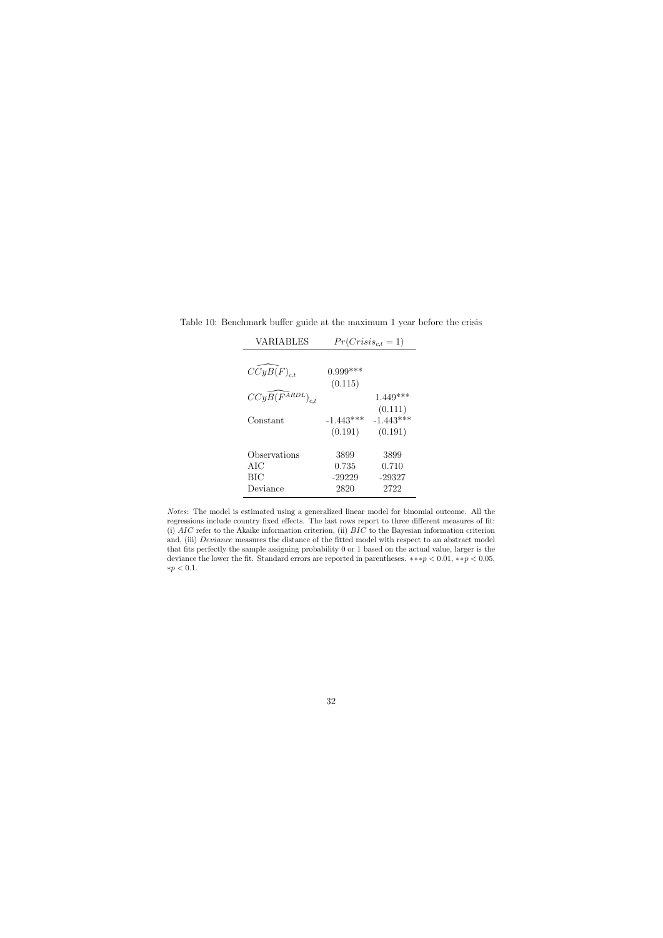| <b>VARIABLES</b>                       |                                   | $Pr(Crisis_{c,t}=1)$              |
|----------------------------------------|-----------------------------------|-----------------------------------|
| $CCyB(F)_{c.t}$                        | $0.999***$<br>(0.115)             |                                   |
| $CCyB(F^{ARDL})_{c.t}$                 |                                   | $1.449***$<br>(0.111)             |
| Constant                               | $-1.443***$<br>(0.191)            | $-1.443***$<br>(0.191)            |
| Observations<br>AIC<br>BIC<br>Deviance | 3899<br>0.735<br>$-29229$<br>2820 | 3899<br>0.710<br>$-29327$<br>2722 |

Table 10: Benchmark buffer guide at the maximum 1 year before the crisis

<span id="page-32-0"></span>Notes: The model is estimated using a generalized linear model for binomial outcome. All the regressions include country fixed effects. The last rows report to three different measures of fit: (i)  $AIC$  refer to the Akaike information criterion, (ii)  $BIC$  to the Bayesian information criterion and, (iii) *Deviance* measures the distance of the fitted model with respect to an abstract model that fits perfectly the sample assigning probability 0 or 1 based on the actual value, larger is the deviance the lower the fit. Standard errors are reported in parentheses.  $**p < 0.01, **p < 0.05$ , ∗p < 0.1.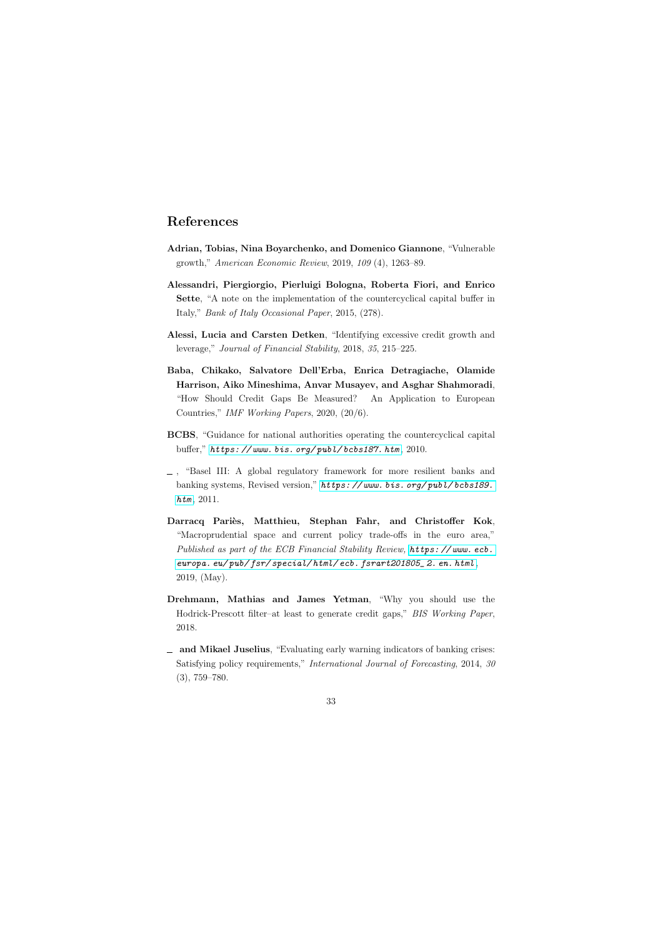## References

- Adrian, Tobias, Nina Boyarchenko, and Domenico Giannone, "Vulnerable growth," American Economic Review, 2019, 109 (4), 1263–89.
- Alessandri, Piergiorgio, Pierluigi Bologna, Roberta Fiori, and Enrico Sette, "A note on the implementation of the countercyclical capital buffer in Italy," Bank of Italy Occasional Paper, 2015, (278).
- Alessi, Lucia and Carsten Detken, "Identifying excessive credit growth and leverage," Journal of Financial Stability, 2018, 35, 215–225.
- <span id="page-33-6"></span>Baba, Chikako, Salvatore Dell'Erba, Enrica Detragiache, Olamide Harrison, Aiko Mineshima, Anvar Musayev, and Asghar Shahmoradi, "How Should Credit Gaps Be Measured? An Application to European Countries," IMF Working Papers, 2020, (20/6).
- <span id="page-33-1"></span>BCBS, "Guidance for national authorities operating the countercyclical capital buffer,"  $https://www.bis.org/public/books187.html, 2010$ .
- <span id="page-33-5"></span> $\Box$ , "Basel III: A global regulatory framework for more resilient banks and banking systems, Revised version," https://www.bis.org/publ/bcbs189.  $htm, 2011.$  $htm, 2011.$
- <span id="page-33-4"></span>Darracq Pariès, Matthieu, Stephan Fahr, and Christoffer Kok, "Macroprudential space and current policy trade-offs in the euro area," Published as part of the ECB Financial Stability Review, https://www.ecb. [europa. eu/ pub/ fsr/ special/ html/ ecb. fsrart201805\\_ 2. en. html](https://www.ecb.europa.eu/pub/fsr/special/html/ecb.fsrart201805_2.en.html) , 2019, (May).
- <span id="page-33-8"></span><span id="page-33-0"></span>Drehmann, Mathias and James Yetman, "Why you should use the Hodrick-Prescott filter–at least to generate credit gaps," BIS Working Paper, 2018.
- <span id="page-33-7"></span><span id="page-33-3"></span><span id="page-33-2"></span>and Mikael Juselius, "Evaluating early warning indicators of banking crises: Satisfying policy requirements," International Journal of Forecasting, 2014, 30 (3), 759–780.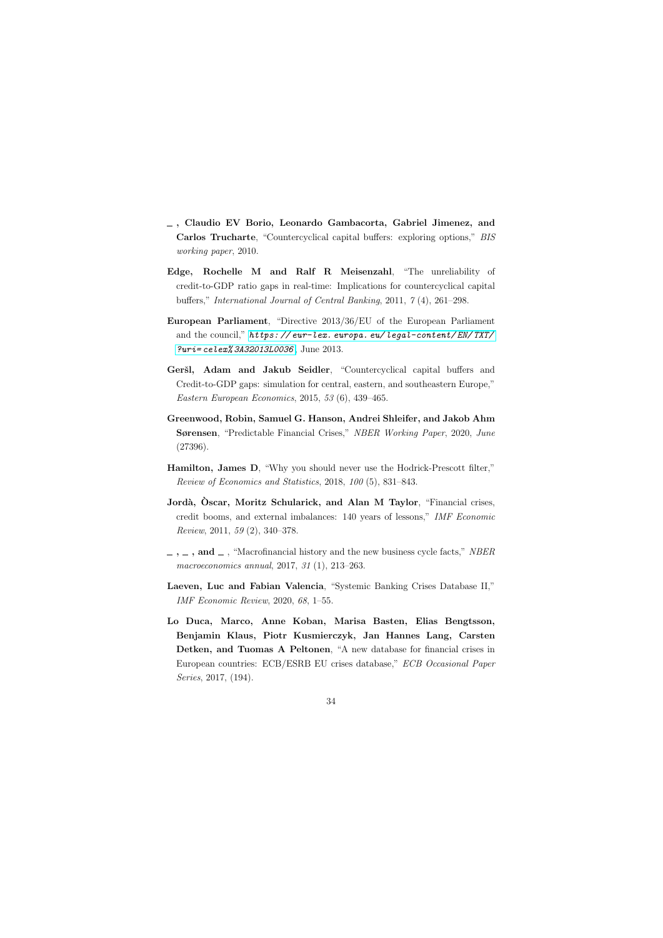- , Claudio EV Borio, Leonardo Gambacorta, Gabriel Jimenez, and Carlos Trucharte, "Countercyclical capital buffers: exploring options," BIS working paper, 2010.
- Edge, Rochelle M and Ralf R Meisenzahl, "The unreliability of credit-to-GDP ratio gaps in real-time: Implications for countercyclical capital buffers," International Journal of Central Banking, 2011, 7 (4), 261–298.
- European Parliament, "Directive 2013/36/EU of the European Parliament and the council," [https: // eur-lex. europa. eu/ legal-content/ EN/ TXT/](https://eur-lex.europa.eu/legal-content/EN/TXT/?uri=celex%3A32013L0036) [?uri= celex% 3A32013L0036](https://eur-lex.europa.eu/legal-content/EN/TXT/?uri=celex%3A32013L0036) , June 2013.
- <span id="page-34-2"></span>Geršl, Adam and Jakub Seidler, "Countercyclical capital buffers and Credit-to-GDP gaps: simulation for central, eastern, and southeastern Europe," Eastern European Economics, 2015, 53 (6), 439–465.
- <span id="page-34-3"></span>Greenwood, Robin, Samuel G. Hanson, Andrei Shleifer, and Jakob Ahm Sørensen, "Predictable Financial Crises," NBER Working Paper, 2020, June (27396).
- <span id="page-34-1"></span>Hamilton, James D, "Why you should never use the Hodrick-Prescott filter," Review of Economics and Statistics, 2018, 100 (5), 831–843.
- <span id="page-34-9"></span>Jordà, Oscar, Moritz Schularick, and Alan M Taylor, "Financial crises, credit booms, and external imbalances: 140 years of lessons," IMF Economic Review, 2011, 59 (2), 340–378.
- <span id="page-34-6"></span> $,\_$ ,  $\_$ , and  $\_$ , "Macrofinancial history and the new business cycle facts," NBER macroeconomics annual, 2017, 31 (1), 213–263.
- <span id="page-34-4"></span>Laeven, Luc and Fabian Valencia, "Systemic Banking Crises Database II," IMF Economic Review, 2020, 68, 1–55.
- <span id="page-34-8"></span><span id="page-34-7"></span><span id="page-34-5"></span><span id="page-34-0"></span>Lo Duca, Marco, Anne Koban, Marisa Basten, Elias Bengtsson, Benjamin Klaus, Piotr Kusmierczyk, Jan Hannes Lang, Carsten Detken, and Tuomas A Peltonen, "A new database for financial crises in European countries: ECB/ESRB EU crises database," ECB Occasional Paper Series, 2017, (194).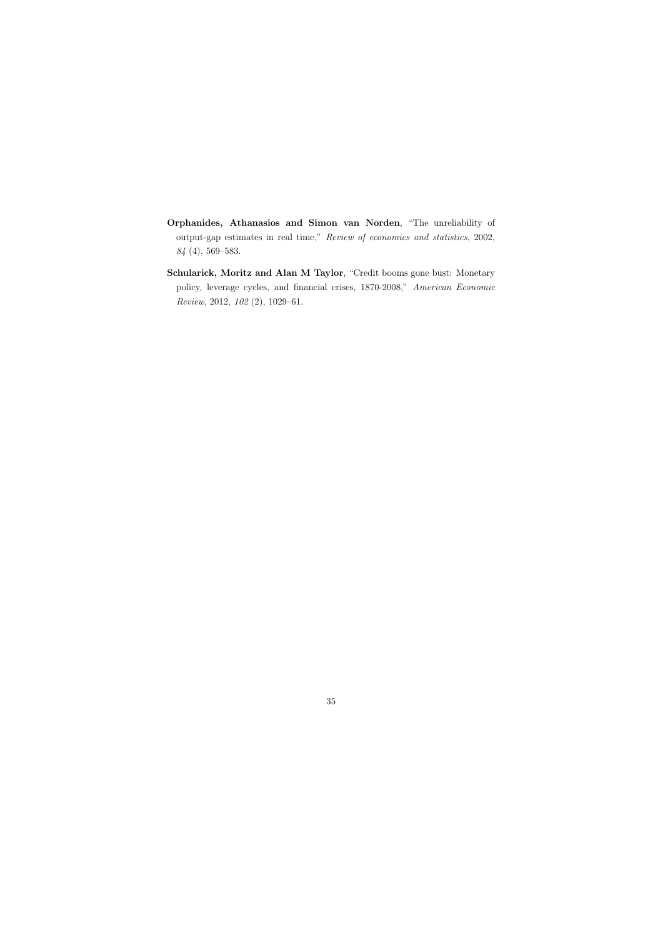- Orphanides, Athanasios and Simon van Norden, "The unreliability of output-gap estimates in real time," Review of economics and statistics, 2002, 84 (4), 569–583.
- <span id="page-35-1"></span><span id="page-35-0"></span>Schularick, Moritz and Alan M Taylor, "Credit booms gone bust: Monetary policy, leverage cycles, and financial crises, 1870-2008," American Economic Review, 2012, 102 (2), 1029–61.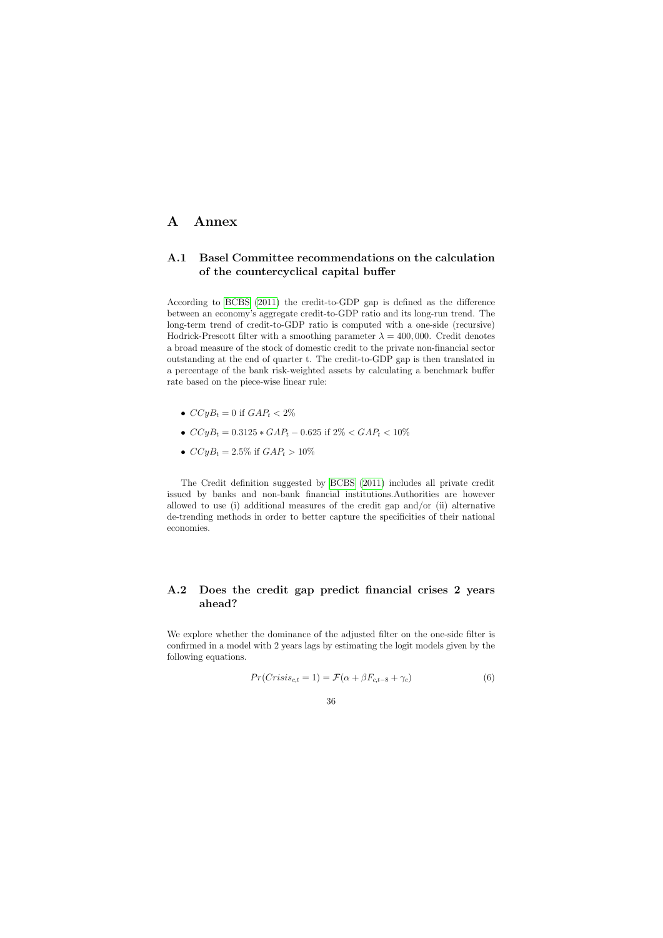### A Annex

### A.1 Basel Committee recommendations on the calculation of the countercyclical capital buffer

According to [BCBS](#page-33-0) [\(2011\)](#page-33-0) the credit-to-GDP gap is defined as the difference between an economy's aggregate credit-to-GDP ratio and its long-run trend. The long-term trend of credit-to-GDP ratio is computed with a one-side (recursive) Hodrick-Prescott filter with a smoothing parameter  $\lambda = 400,000$ . Credit denotes a broad measure of the stock of domestic credit to the private non-financial sector outstanding at the end of quarter t. The credit-to-GDP gap is then translated in a percentage of the bank risk-weighted assets by calculating a benchmark buffer rate based on the piece-wise linear rule:

- <span id="page-36-1"></span>•  $CCyB_t = 0$  if  $GAP_t < 2\%$
- $CCyB_t = 0.3125 * GAP_t 0.625$  if  $2\% < GAP_t < 10\%$
- $CCyB_t = 2.5\%$  if  $GAP_t > 10\%$

The Credit definition suggested by [BCBS](#page-33-0) [\(2011\)](#page-33-0) includes all private credit issued by banks and non-bank financial institutions.Authorities are however allowed to use (i) additional measures of the credit gap and/or (ii) alternative de-trending methods in order to better capture the specificities of their national economies.

### A.2 Does the credit gap predict financial crises 2 years ahead?

<span id="page-36-0"></span>We explore whether the dominance of the adjusted filter on the one-side filter is confirmed in a model with 2 years lags by estimating the logit models given by the following equations.

<span id="page-36-2"></span>
$$
Pr(Crisis_{c,t} = 1) = \mathcal{F}(\alpha + \beta F_{c,t-8} + \gamma_c)
$$
\n
$$
(6)
$$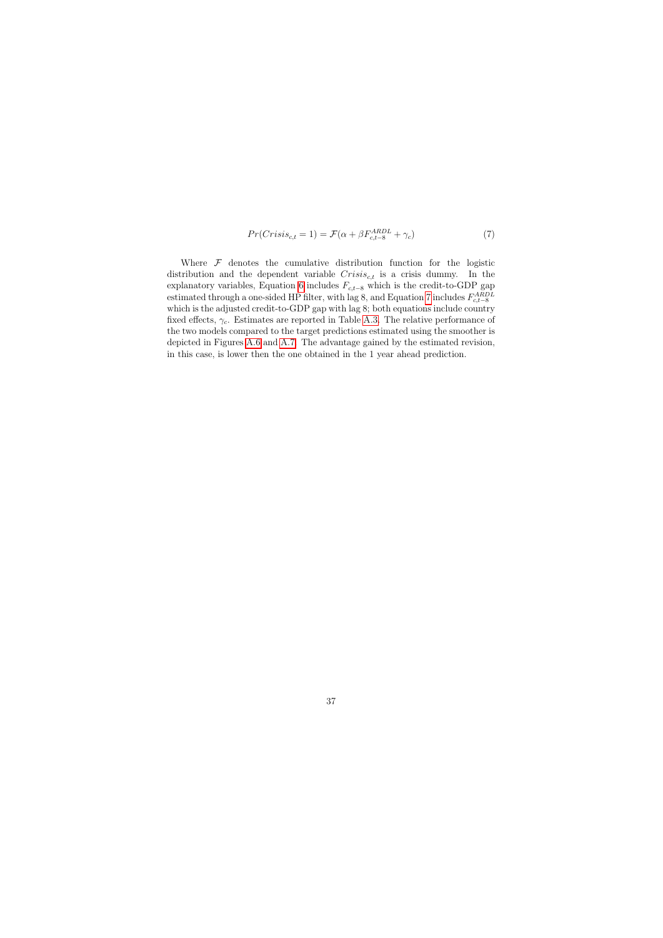$$
Pr(Crisis_{c,t} = 1) = \mathcal{F}(\alpha + \beta F_{c,t-8}^{ARDL} + \gamma_c)
$$
\n<sup>(7)</sup>

<span id="page-37-0"></span>Where  $F$  denotes the cumulative distribution function for the logistic distribution and the dependent variable  $Crisis_{c,t}$  is a crisis dummy. In the explanatory variables, Equation [6](#page-36-2) includes  $F_{c,t-8}$  which is the credit-to-GDP gap estimated through a one-sided HP filter, with lag 8, and Equation [7](#page-37-0) includes  $F_{c,t-8}^{ARDL}$ which is the adjusted credit-to-GDP gap with lag 8; both equations include country fixed effects,  $\gamma_c$ . Estimates are reported in Table [A.3.](#page-40-0) The relative performance of the two models compared to the target predictions estimated using the smoother is depicted in Figures [A.6](#page-44-0) and [A.7.](#page-45-0) The advantage gained by the estimated revision, in this case, is lower then the one obtained in the 1 year ahead prediction.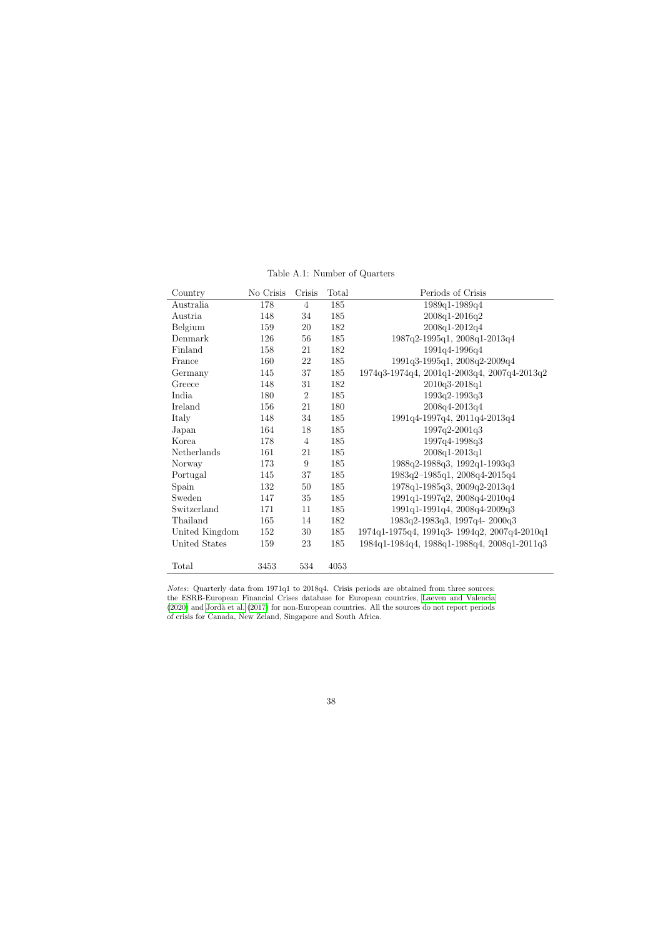<span id="page-38-0"></span>

| Country        | No Crisis | Crisis         | Total | Periods of Crisis                            |
|----------------|-----------|----------------|-------|----------------------------------------------|
| Australia      | 178       | $\overline{4}$ | 185   | 1989q1-1989q4                                |
| Austria        | 148       | 34             | 185   | 2008q1-2016q2                                |
| Belgium        | 159       | $20\,$         | 182   | 2008q1-2012q4                                |
| Denmark        | 126       | 56             | 185   | 1987q2-1995q1, 2008q1-2013q4                 |
| Finland        | 158       | 21             | 182   | 1991q4-1996q4                                |
| France         | 160       | 22             | 185   | 1991q3-1995q1, 2008q2-2009q4                 |
| Germany        | 145       | 37             | 185   | 1974q3-1974q4, 2001q1-2003q4, 2007q4-2013q2  |
| Greece         | 148       | 31             | 182   | 2010q3-2018q1                                |
| India          | 180       | $\overline{2}$ | 185   | 1993q2-1993q3                                |
| Ireland        | 156       | 21             | 180   | 2008q4-2013q4                                |
| Italy          | 148       | 34             | 185   | 1991q4-1997q4, 2011q4-2013q4                 |
| Japan          | 164       | 18             | 185   | 1997q2-2001q3                                |
| Korea          | 178       | $\overline{4}$ | 185   | 1997q4-1998q3                                |
| Netherlands    | 161       | 21             | 185   | 2008q1-2013q1                                |
| Norway         | 173       | $9\,$          | 185   | 1988q2-1988q3, 1992q1-1993q3                 |
| Portugal       | 145       | 37             | 185   | 1983q2-1985q1, 2008q4-2015q4                 |
| Spain          | 132       | 50             | 185   | 1978q1-1985q3, 2009q2-2013q4                 |
| Sweden         | 147       | $35\,$         | 185   | 1991q1-1997q2, 2008q4-2010q4                 |
| Switzerland    | 171       | 11             | 185   | 1991q1-1991q4, 2008q4-2009q3                 |
| Thailand       | 165       | 14             | 182   | 1983q2-1983q3, 1997q4-2000q3                 |
| United Kingdom | 152       | 30             | 185   | 1974q1-1975q4, 1991q3- 1994q2, 2007q4-2010q1 |
| United States  | 159       | 23             | 185   | 1984q1-1984q4, 1988q1-1988q4, 2008q1-2011q3  |
|                |           |                |       |                                              |
| Total          | 3453      | 534            | 4053  |                                              |

Table A.1: Number of Quarters

Notes: Quarterly data from 1971q1 to 2018q4. Crisis periods are obtained from three sources: the ESRB-European Financial Crises database for European countries, [Laeven and Valencia](#page-34-8)  $(2020)$  and Jordà et al.  $(2017)$  for non-European countries. All the sources do not report periods of crisis for Canada, New Zeland, Singapore and South Africa.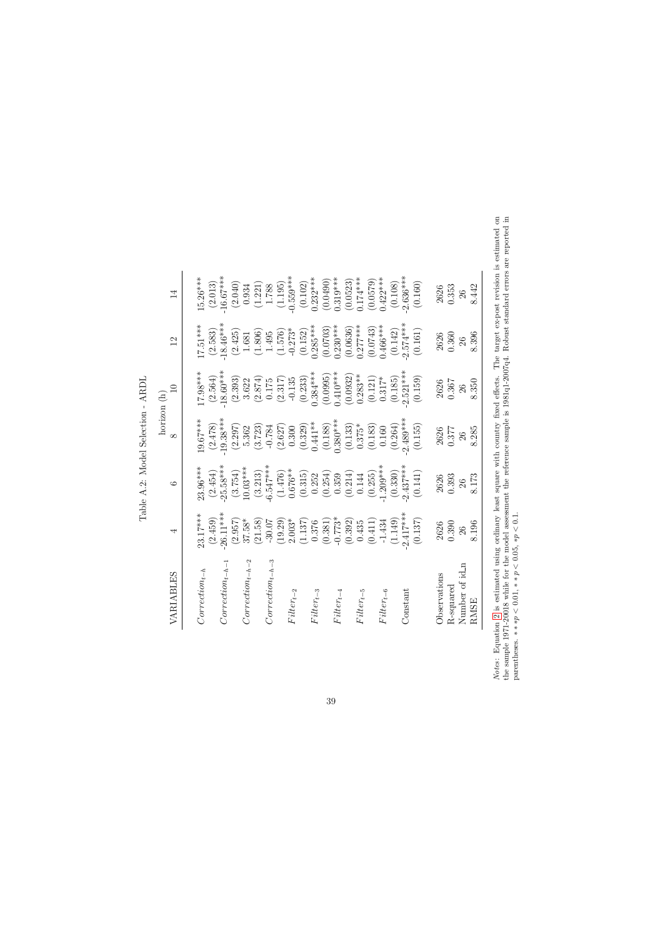|             | $\overline{1}$ | $15.26***$         | (2.013) | $-16.67***$          | (2.040) | 0.934                | (1.221)                  | 1.788                | (1.195) | $-0.559***$    | (0.102) | $0.232***$     | (0.0490) | $0.319***$     | (0.0523) | $0.174***$     | (0.0579) | $0.422***$     | (0.108) | $2.636***$ | (0.160) | 2626         | 0.353     | 26             | 8.442       |
|-------------|----------------|--------------------|---------|----------------------|---------|----------------------|--------------------------|----------------------|---------|----------------|---------|----------------|----------|----------------|----------|----------------|----------|----------------|---------|------------|---------|--------------|-----------|----------------|-------------|
|             | $\frac{2}{1}$  | $17.51***$         | (2.583) | $-18.46***$          | (2.425) | 1.681                | (1.806)                  | 1.495                | (1.576) | $-0.273*$      | (0.152) | $0.285***$     | (0.0703) | $0.230***$     | (0.0636) | $0.277***$     | (0.0743) | $0.466***$     | (0.142) | $2.574***$ | (0.161) | 2626         | 0.360     | 26             | 8.396       |
|             | $\Box$         | 17.98***           | (2.564) | $-18.60***$          | (2.393) | 3.622                | (2.874)                  | 0.175                | (2.317) | $-0.135$       | (0.233) | $0.384***$     | (0.0995) | $0.410***$     | (0.0932) | $0.283**$      | (0.121)  | $0.317*$       | (0.185) | $2.521***$ | (0.159) | 2626         | 0.367     | 26             | 8.350       |
| horizon (h) | $\infty$       | $-9.67***$         | (2.478) | $-19.38***$          | (2.297) | 5.362                | (3.723)                  | $-0.784$             | (2.627) | 0.300          | (0.329) | $0.441***$     | (0.188)  | $0.380***$     | (0.133)  | $0.375*$       | (0.183)  | 0.160          | (0.264) | $2.489***$ | (0.155) | 2626         | 0.377     | 26             | 8.285       |
|             | $\circ$        | 23.96***           | (2.454) | $25.58***$           | (3.754) | $10.03***$           | $(3.213)$<br>$-6.547***$ |                      | (1.476) | $0.676**$      | (0.315) | 0.252          | (0.254)  | 0.359          | (0.214)  | 0.144          | (0.255)  | $1.209***$     | (0.330) | $2.437***$ | (0.141) | 2626         | 0.393     | 26             | 8.173       |
|             | 4              | 23.17***           | (2.459) | $-26.11***$          | (2.957) | $37.58*$             | (21.58)                  | $-30.07$             | (19.29) | $2.003*$       | (1.137) | 0.376          | (0.381)  | $-0.773*$      | (0.392)  | 0.435          | (0.411)  | $-1.434$       | (1.149) | $2.417***$ | (0.137) | 2626         | 0.390     | 26             | 8.196       |
|             | VARIABLES      | $Correction_{t-h}$ |         | $Correction_{t-h-1}$ |         | $Correction_{t-h-2}$ |                          | $Correction_{t-h-3}$ |         | $Filter_{t-2}$ |         | $Fitter_{t-3}$ |          | $Fitter_{t-4}$ |          | $Fitter_{t-5}$ |          | $Fitter_{t-6}$ |         | Constant   |         | Observations | R-squared | Number of id_n | <b>RMSE</b> |

<span id="page-39-0"></span>Table A.2: Model Selection - ARDL Table A.2: Model Selection - ARDL *Notes*: Equation 2 is estimated using ordinary least square with country fixed effects. The target ex-post revision is estimated on the sample 1971-20018 while for the model assessment the reference sample is 1981q1-2007 Notes: Equation [2](#page-9-3) is estimated using ordinary least square with country fixed effects. The target ex-post revision is estimated on the sample 1971-20018 while for the model assessment the reference sample is 1981q1-2007q4. Robust standard errors are reported in parentheses.  $* * \nu \leq 0.01$ ,  $* \nu \leq 0.05$ ,  $* \nu \leq 0.1$ .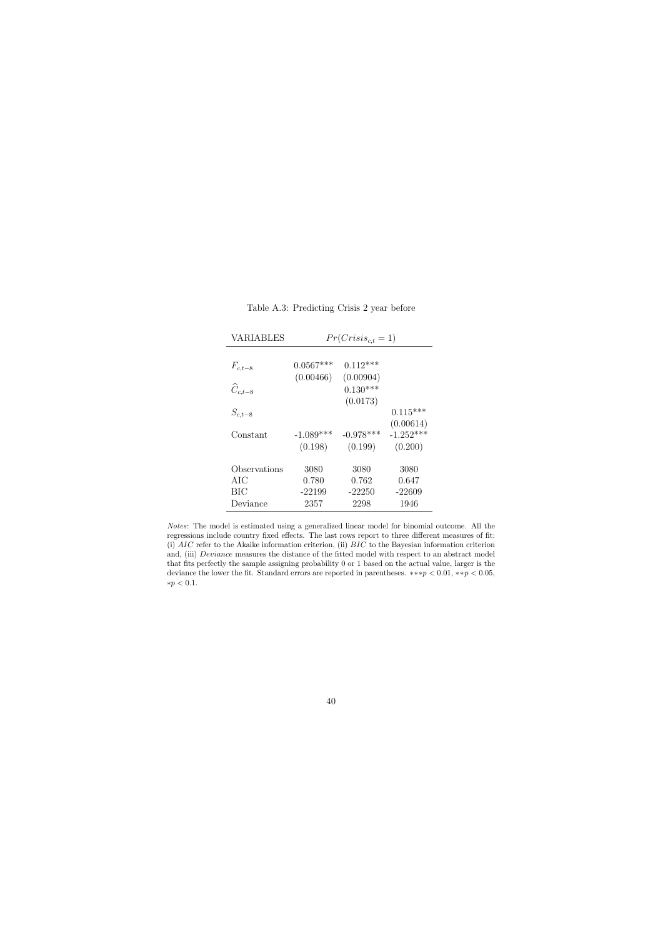| <b>VARIABLES</b>      |             | $Pr(Crisis_{c,t}=1)$ |             |
|-----------------------|-------------|----------------------|-------------|
|                       |             |                      |             |
| $F_{c,t-8}$           | $0.0567***$ | $0.112***$           |             |
|                       | (0.00466)   | (0.00904)            |             |
| $\widehat{C}_{c,t-8}$ |             | $0.130***$           |             |
|                       |             | (0.0173)             |             |
| $S_{c,t-8}$           |             |                      | $0.115***$  |
|                       |             |                      | (0.00614)   |
| Constant              | $-1.089***$ | $-0.978***$          | $-1.252***$ |
|                       | (0.198)     | (0.199)              | (0.200)     |
|                       |             |                      |             |
| Observations          | 3080        | 3080                 | 3080        |
| AIC                   | 0.780       | 0.762                | 0.647       |
| ВIС                   | $-22199$    | $-22250$             | $-22609$    |
| Deviance              | 2357        | 2298                 | 1946        |

Table A.3: Predicting Crisis 2 year before

<span id="page-40-0"></span>Notes: The model is estimated using a generalized linear model for binomial outcome. All the regressions include country fixed effects. The last rows report to three different measures of fit: (i) AIC refer to the Akaike information criterion, (ii) BIC to the Bayesian information criterion and, (iii) *Deviance* measures the distance of the fitted model with respect to an abstract model that fits perfectly the sample assigning probability 0 or 1 based on the actual value, larger is the deviance the lower the fit. Standard errors are reported in parentheses.  $**p < 0.01, **p < 0.05$ , ∗p < 0.1.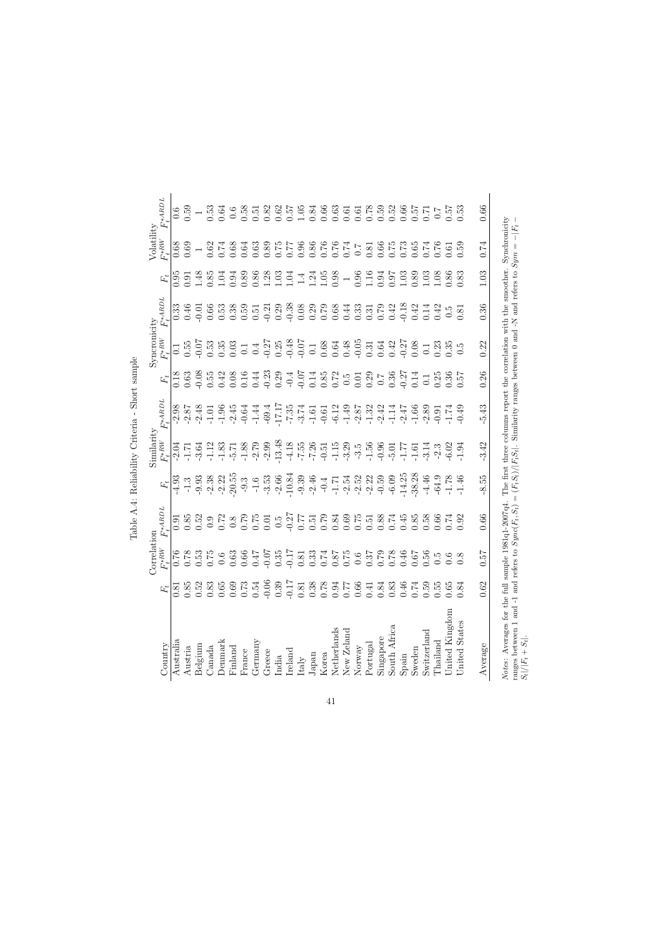|                                                                                                                                                                   |               | Correlat           | noi.              |                       | $S$ imilarity                                                                            |                                    |      | Symproonicity                                                                                                                                                                                                                    |                              |                                                                                                                                                                                                                                                                                                     | Volatility                                            |                                                                                                                                                                                                                                                                               |
|-------------------------------------------------------------------------------------------------------------------------------------------------------------------|---------------|--------------------|-------------------|-----------------------|------------------------------------------------------------------------------------------|------------------------------------|------|----------------------------------------------------------------------------------------------------------------------------------------------------------------------------------------------------------------------------------|------------------------------|-----------------------------------------------------------------------------------------------------------------------------------------------------------------------------------------------------------------------------------------------------------------------------------------------------|-------------------------------------------------------|-------------------------------------------------------------------------------------------------------------------------------------------------------------------------------------------------------------------------------------------------------------------------------|
| Country                                                                                                                                                           | $F_t$         | $F_t^{\ast \, RW}$ | $F_t^{\ast ABDL}$ |                       | $F_t^{*{\cal R}{\cal W}}$                                                                | $F_t^{*ABDL}$                      |      | $F_t^{*RK}$                                                                                                                                                                                                                      | $F_t^{\ast ABDL}$            |                                                                                                                                                                                                                                                                                                     | $F_t^{*RW}$                                           | $F_\mathrm{t}^{\ast ABDL}$                                                                                                                                                                                                                                                    |
| Australia                                                                                                                                                         | $\frac{8}{3}$ | 0.76               | 0.91              | $-4.93$               | $-2.04$                                                                                  | $-2.98$                            |      | $\overline{0}$ .                                                                                                                                                                                                                 | $0.3\overline{3}$            | 56<br>C                                                                                                                                                                                                                                                                                             | 0.68                                                  |                                                                                                                                                                                                                                                                               |
| Austria                                                                                                                                                           | 0.85          | 0.78               | 0.85              | $-1.3$                | $-1.7$                                                                                   | $-2.87$                            |      | 0.55                                                                                                                                                                                                                             | 0.46                         | 0.91                                                                                                                                                                                                                                                                                                | 0.69                                                  | 0.59                                                                                                                                                                                                                                                                          |
| Belgium                                                                                                                                                           | 0.52          | 0.53               | 0.52              |                       | $-3.64$                                                                                  |                                    |      | $-0.07$                                                                                                                                                                                                                          | $-0.01$                      | 1.48                                                                                                                                                                                                                                                                                                |                                                       | $\begin{array}{c} 1 \\ 0.53 \end{array}$                                                                                                                                                                                                                                      |
| $\alpha$ anada                                                                                                                                                    | 0.83          | 0.75               | 0.9               | $-9.38$<br>$-2.32$    | $-1.12$                                                                                  |                                    |      | 0.53                                                                                                                                                                                                                             |                              | 0.85                                                                                                                                                                                                                                                                                                | 0.62                                                  |                                                                                                                                                                                                                                                                               |
| <b>Denmark</b>                                                                                                                                                    | $0.65\,$      | 0.6                | 0.72              |                       |                                                                                          |                                    |      |                                                                                                                                                                                                                                  |                              | 1.04                                                                                                                                                                                                                                                                                                | 0.74                                                  | 0.64                                                                                                                                                                                                                                                                          |
| Finland                                                                                                                                                           | 0.69          | $0.63\,$           | $0.8\,$           |                       |                                                                                          |                                    |      |                                                                                                                                                                                                                                  | $0.538$<br>$0.538$<br>$0.59$ |                                                                                                                                                                                                                                                                                                     | 0.68                                                  | $0.6\,$                                                                                                                                                                                                                                                                       |
| France                                                                                                                                                            | $0.73\,$      | 0.66               | 0.79              |                       | $-1.83$<br>$-5.71$<br>$-1.88$<br>$-2.79$                                                 |                                    |      |                                                                                                                                                                                                                                  |                              |                                                                                                                                                                                                                                                                                                     | 0.64                                                  | 0.58                                                                                                                                                                                                                                                                          |
| Germany                                                                                                                                                           | 0.54          | 0.47               | 0.75              |                       |                                                                                          |                                    |      |                                                                                                                                                                                                                                  |                              |                                                                                                                                                                                                                                                                                                     | 0.63                                                  | 0.51                                                                                                                                                                                                                                                                          |
| Greece                                                                                                                                                            | $-0.06$       | $-0.07$            | 0.01              |                       | $-2.99$                                                                                  |                                    |      | $3.33 \div 2.7$<br>$3.33 \div 2.7$<br>$3.33 \div 2.7$<br>$3.33 \div 2.7$<br>$3.33 \div 2.7$<br>$3.33 \div 2.7$<br>$3.33 \div 2.7$<br>$3.33 \div 2.7$<br>$3.33 \div 2.7$<br>$3.33 \div 2.7$<br>$3.33 \div 2.7$<br>$3.33 \div 2.7$ |                              | $\begin{array}{c} 0.988 \\ 0.088 \\ 0.011 \\ 0.011 \\ 0.011 \\ 0.011 \\ 0.011 \\ 0.011 \\ 0.011 \\ 0.011 \\ 0.011 \\ 0.011 \\ 0.011 \\ 0.011 \\ 0.011 \\ 0.011 \\ 0.011 \\ 0.011 \\ 0.011 \\ 0.011 \\ 0.011 \\ 0.011 \\ 0.011 \\ 0.011 \\ 0.011 \\ 0.011 \\ 0.011 \\ 0.011 \\ 0.011 \\ 0.011 \\ 0.$ | 0.89                                                  | 0.82                                                                                                                                                                                                                                                                          |
| India                                                                                                                                                             | 0.39          | 0.35               | $0.\overline{5}$  |                       | 13.48                                                                                    |                                    |      |                                                                                                                                                                                                                                  |                              |                                                                                                                                                                                                                                                                                                     | 0.75                                                  | $\begin{array}{c} 0.62 \\ 0.57 \\ 1.05 \\ 0.84 \end{array}$                                                                                                                                                                                                                   |
| Ireland                                                                                                                                                           | $-0.17$       | $-0.17$            | 0.27              |                       |                                                                                          |                                    |      |                                                                                                                                                                                                                                  |                              |                                                                                                                                                                                                                                                                                                     |                                                       |                                                                                                                                                                                                                                                                               |
| Italy                                                                                                                                                             | 0.81          | 0.81               | 77                |                       |                                                                                          |                                    |      |                                                                                                                                                                                                                                  |                              |                                                                                                                                                                                                                                                                                                     | 0.96                                                  |                                                                                                                                                                                                                                                                               |
| Japan                                                                                                                                                             | 0.38          | 0.33               | 5.1               |                       |                                                                                          |                                    |      |                                                                                                                                                                                                                                  |                              |                                                                                                                                                                                                                                                                                                     | 0.86                                                  |                                                                                                                                                                                                                                                                               |
| Korea                                                                                                                                                             | 0.78          | 0.74               | 0.79              |                       |                                                                                          |                                    |      |                                                                                                                                                                                                                                  |                              |                                                                                                                                                                                                                                                                                                     |                                                       |                                                                                                                                                                                                                                                                               |
| Netherlands                                                                                                                                                       | 0.94          | 0.87               | 0.84              |                       |                                                                                          |                                    |      |                                                                                                                                                                                                                                  |                              |                                                                                                                                                                                                                                                                                                     |                                                       |                                                                                                                                                                                                                                                                               |
| New Zeland                                                                                                                                                        | 777           | 0.75               |                   |                       | $\begin{array}{cccc}\n4.18 \\ 7.59 \\ 7.79 \\ 8.59 \\ 9.59 \\ 9.59 \\ 1.59\n\end{array}$ |                                    |      |                                                                                                                                                                                                                                  |                              |                                                                                                                                                                                                                                                                                                     | 1975<br>1975 1980<br>1975 1980 1980<br>1980 1980 1980 | $\begin{array}{cccc} 0.666\\ 0.633\\ 0.61\\ 0.61\\ 0.63\\ 0.65\\ 0.65\\ 0.65\\ 0.66\\ 0.67\\ 0.67\\ 0.68\\ 0.67\\ 0.67\\ 0.67\\ 0.63\\ 0.68\\ 0.67\\ 0.67\\ 0.63\\ 0.68\\ 0.69\\ 0.69\\ 0.69\\ 0.69\\ 0.69\\ 0.69\\ 0.69\\ 0.69\\ 0.69\\ 0.69\\ 0.69\\ 0.69\\ 0.69\\ 0.69\\ $ |
| Normay                                                                                                                                                            | 0.66          | 0.6                |                   |                       |                                                                                          |                                    |      |                                                                                                                                                                                                                                  |                              | 0.96                                                                                                                                                                                                                                                                                                |                                                       |                                                                                                                                                                                                                                                                               |
| Portugal                                                                                                                                                          | 0.41          | 0.37               |                   |                       |                                                                                          |                                    |      |                                                                                                                                                                                                                                  |                              | 1.16<br>0.94<br>0.97                                                                                                                                                                                                                                                                                |                                                       |                                                                                                                                                                                                                                                                               |
| Singapore                                                                                                                                                         | 0.84          | 0.79               |                   |                       | $-0.96$                                                                                  |                                    |      |                                                                                                                                                                                                                                  |                              |                                                                                                                                                                                                                                                                                                     |                                                       |                                                                                                                                                                                                                                                                               |
| South Africa                                                                                                                                                      | 0.83          | 0.78               |                   |                       |                                                                                          |                                    |      |                                                                                                                                                                                                                                  |                              |                                                                                                                                                                                                                                                                                                     |                                                       |                                                                                                                                                                                                                                                                               |
| Spain                                                                                                                                                             | 0.46          | 9.46               |                   |                       | $-5.01$<br>$-1.77$<br>$-1.61$<br>$-3.14$                                                 |                                    |      |                                                                                                                                                                                                                                  |                              | 1.03                                                                                                                                                                                                                                                                                                |                                                       |                                                                                                                                                                                                                                                                               |
| Sweden                                                                                                                                                            | 0.74          | 0.67               |                   |                       |                                                                                          |                                    |      |                                                                                                                                                                                                                                  |                              | 0.89                                                                                                                                                                                                                                                                                                |                                                       |                                                                                                                                                                                                                                                                               |
| Switzerland                                                                                                                                                       | 0.59          | 0.56               |                   |                       |                                                                                          |                                    |      |                                                                                                                                                                                                                                  |                              | 1.03                                                                                                                                                                                                                                                                                                |                                                       |                                                                                                                                                                                                                                                                               |
| $\Gamma$ hailand                                                                                                                                                  | 0.55          | $\frac{c}{2}$      |                   |                       | $-2.3$<br>$-6.02$<br>$-1.94$                                                             |                                    |      | $\begin{array}{c} 0.1 \\ 0.23 \\ 0.35 \\ 0.5 \end{array}$                                                                                                                                                                        |                              | $\frac{1.08}{0.83}$                                                                                                                                                                                                                                                                                 |                                                       |                                                                                                                                                                                                                                                                               |
| Jnited Kingdom                                                                                                                                                    | 0.65          | 0.6                |                   |                       |                                                                                          |                                    |      |                                                                                                                                                                                                                                  |                              |                                                                                                                                                                                                                                                                                                     |                                                       |                                                                                                                                                                                                                                                                               |
| United States                                                                                                                                                     | 0.84          | $\overline{0.8}$   |                   |                       |                                                                                          |                                    |      |                                                                                                                                                                                                                                  |                              |                                                                                                                                                                                                                                                                                                     | 0.59                                                  |                                                                                                                                                                                                                                                                               |
| Average                                                                                                                                                           | 0.62          | 750                | 0.66              | 8.55                  | 3.42                                                                                     | 5.43                               | 0.26 | 0.22                                                                                                                                                                                                                             | 0.36                         | 1.03                                                                                                                                                                                                                                                                                                | 0.74                                                  | 0.66                                                                                                                                                                                                                                                                          |
| Notes: Averages for the full sample 1981q1-2007q4. The first three columns report the correlation with the smoother.<br>ranges between 1 and -1 and refers to $S$ |               |                    | $ync(F_t,S_t)$    | $=(F_tS_t)/ F_tS_t .$ |                                                                                          | Similarity ranges between 0 and -N |      |                                                                                                                                                                                                                                  |                              | and refers to $Sym =$                                                                                                                                                                                                                                                                               | Synchronicity<br>$-\boxed{F_t}$                       |                                                                                                                                                                                                                                                                               |
| $S_t / F_t+S_t .$                                                                                                                                                 |               |                    |                   |                       |                                                                                          |                                    |      |                                                                                                                                                                                                                                  |                              |                                                                                                                                                                                                                                                                                                     |                                                       |                                                                                                                                                                                                                                                                               |

<span id="page-41-0"></span>Table A.4: Reliability Criteria - Short sample Table A.4: Reliability Criteria - Short sample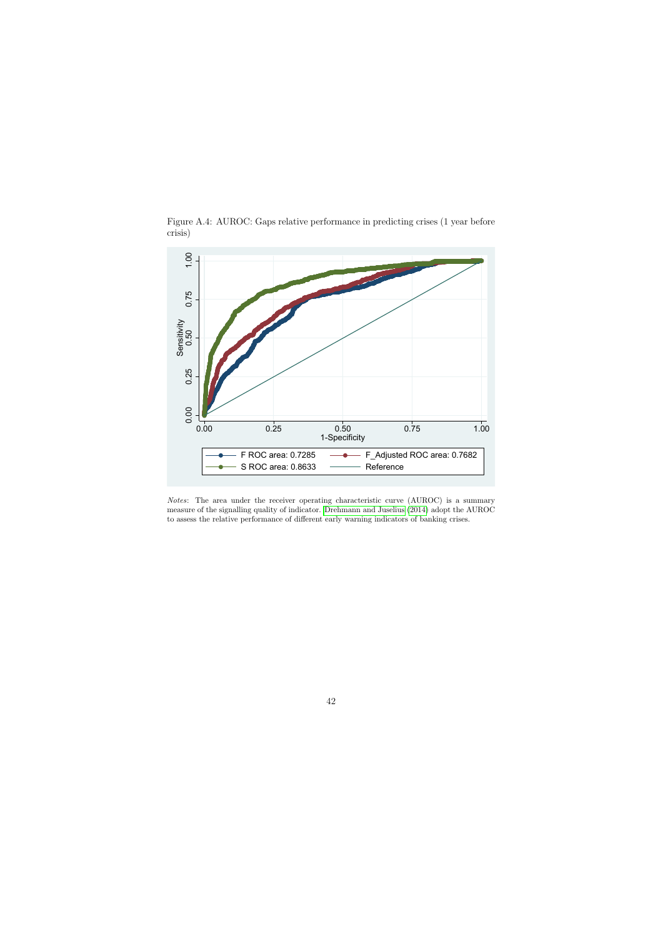<span id="page-42-0"></span>

Figure A.4: AUROC: Gaps relative performance in predicting crises (1 year before crisis)

Notes: The area under the receiver operating characteristic curve (AUROC) is a summary measure of the signalling quality of indicator. [Drehmann and Juselius](#page-33-7) [\(2014\)](#page-33-7) adopt the AUROC to assess the relative performance of different early warning indicators of banking crises.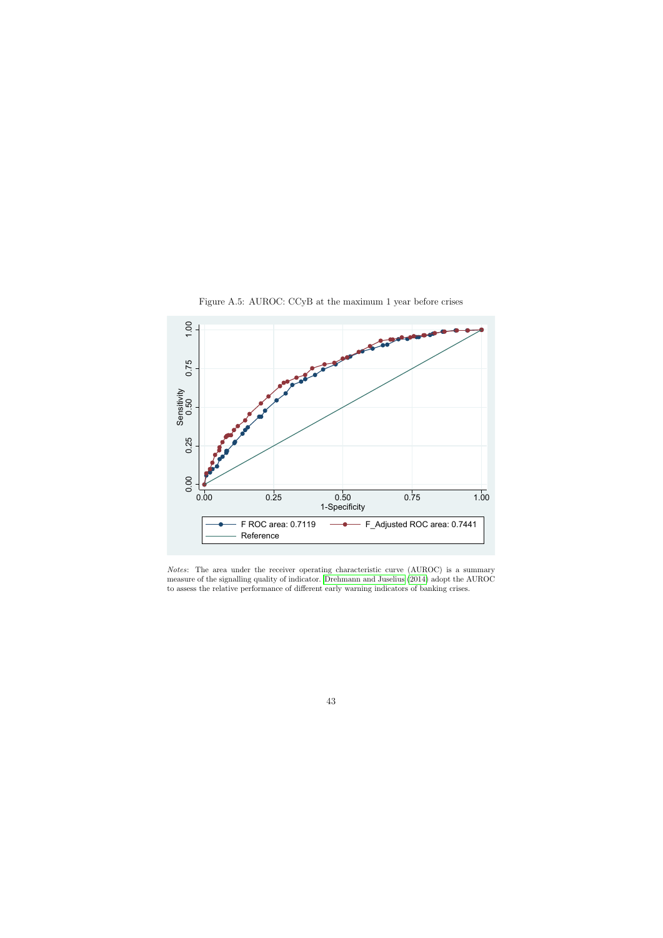<span id="page-43-0"></span>

Figure A.5: AUROC: CCyB at the maximum 1 year before crises

Notes: The area under the receiver operating characteristic curve (AUROC) is a summary measure of the signalling quality of indicator. [Drehmann and Juselius](#page-33-7) [\(2014\)](#page-33-7) adopt the AUROC to assess the relative performance of different early warning indicators of banking crises.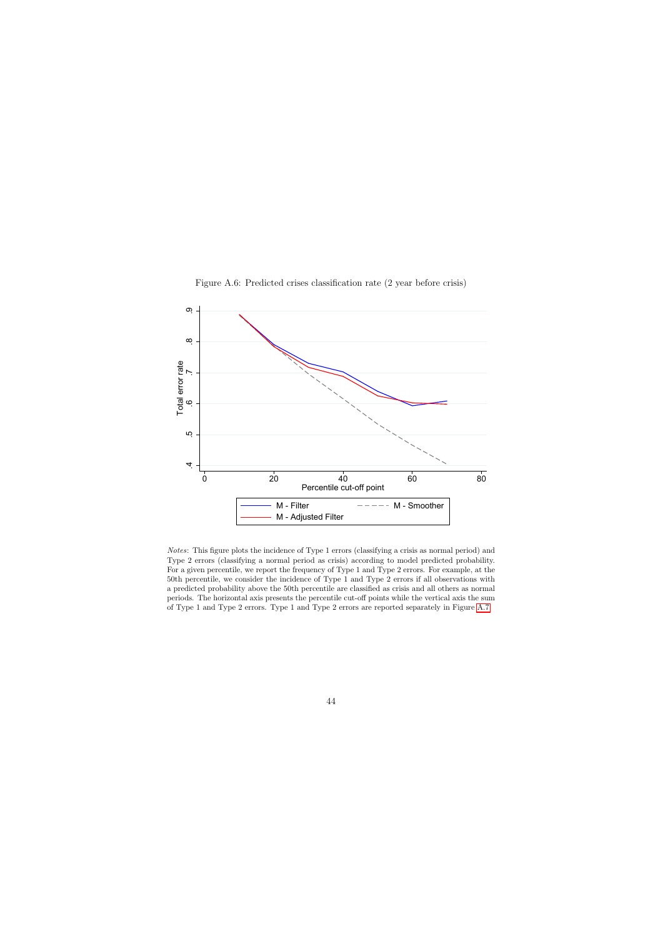<span id="page-44-0"></span>

Figure A.6: Predicted crises classification rate (2 year before crisis)

Notes: This figure plots the incidence of Type 1 errors (classifying a crisis as normal period) and Type 2 errors (classifying a normal period as crisis) according to model predicted probability. For a given percentile, we report the frequency of Type 1 and Type 2 errors. For example, at the 50th percentile, we consider the incidence of Type 1 and Type 2 errors if all observations with a predicted probability above the 50th percentile are classified as crisis and all others as normal periods. The horizontal axis presents the percentile cut-off points while the vertical axis the sum of Type 1 and Type 2 errors. Type 1 and Type 2 errors are reported separately in Figure [A.7.](#page-45-0)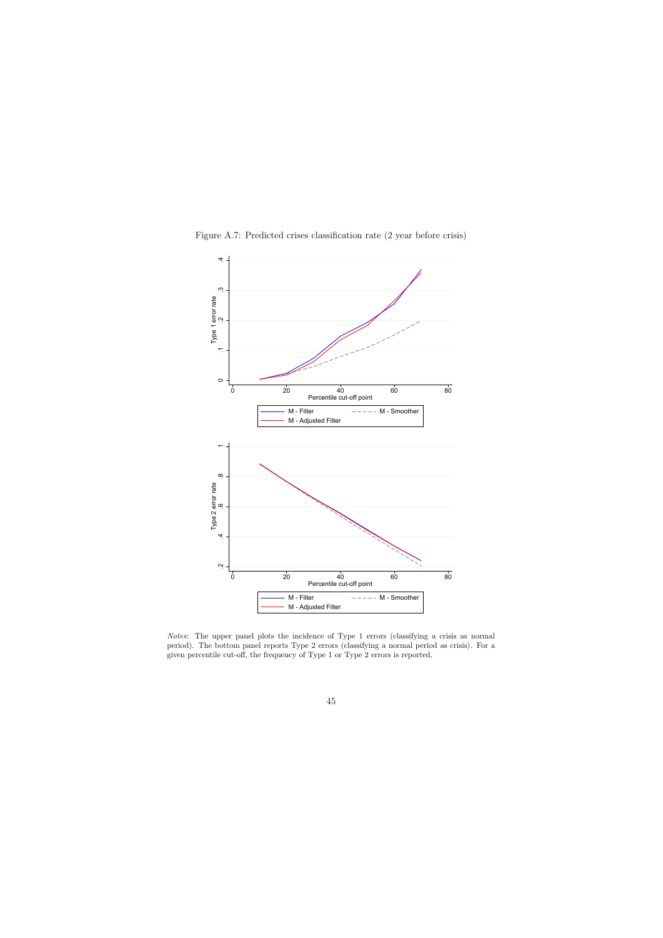<span id="page-45-0"></span>

Notes: The upper panel plots the incidence of Type 1 errors (classifying a crisis as normal period). The bottom panel reports Type 2 errors (classifying a normal period as crisis). For a given percentile cut-off, the frequency of Type 1 or Type 2 errors is reported.